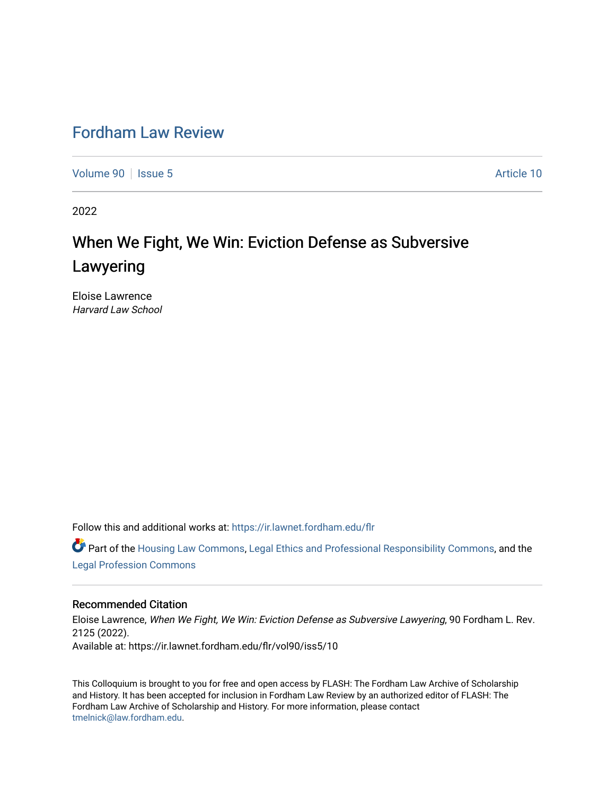## [Fordham Law Review](https://ir.lawnet.fordham.edu/flr)

[Volume 90](https://ir.lawnet.fordham.edu/flr/vol90) | [Issue 5](https://ir.lawnet.fordham.edu/flr/vol90/iss5) Article 10

2022

# When We Fight, We Win: Eviction Defense as Subversive Lawyering

Eloise Lawrence Harvard Law School

Follow this and additional works at: [https://ir.lawnet.fordham.edu/flr](https://ir.lawnet.fordham.edu/flr?utm_source=ir.lawnet.fordham.edu%2Fflr%2Fvol90%2Fiss5%2F10&utm_medium=PDF&utm_campaign=PDFCoverPages)

 $\bullet$  Part of the [Housing Law Commons,](http://network.bepress.com/hgg/discipline/846?utm_source=ir.lawnet.fordham.edu%2Fflr%2Fvol90%2Fiss5%2F10&utm_medium=PDF&utm_campaign=PDFCoverPages) [Legal Ethics and Professional Responsibility Commons](http://network.bepress.com/hgg/discipline/895?utm_source=ir.lawnet.fordham.edu%2Fflr%2Fvol90%2Fiss5%2F10&utm_medium=PDF&utm_campaign=PDFCoverPages), and the [Legal Profession Commons](http://network.bepress.com/hgg/discipline/1075?utm_source=ir.lawnet.fordham.edu%2Fflr%2Fvol90%2Fiss5%2F10&utm_medium=PDF&utm_campaign=PDFCoverPages)

#### Recommended Citation

Eloise Lawrence, When We Fight, We Win: Eviction Defense as Subversive Lawyering, 90 Fordham L. Rev. 2125 (2022). Available at: https://ir.lawnet.fordham.edu/flr/vol90/iss5/10

This Colloquium is brought to you for free and open access by FLASH: The Fordham Law Archive of Scholarship and History. It has been accepted for inclusion in Fordham Law Review by an authorized editor of FLASH: The Fordham Law Archive of Scholarship and History. For more information, please contact [tmelnick@law.fordham.edu](mailto:tmelnick@law.fordham.edu).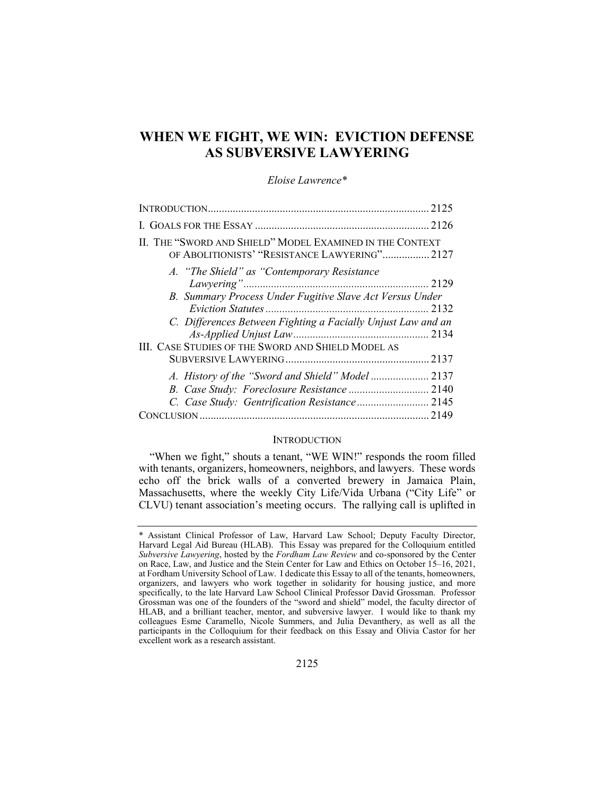### WHEN WE FIGHT, WE WIN: EVICTION DEFENSE AS SUBVERSIVE LAWYERING

#### Eloise Lawrence\*

| 2125                                                                                                      |  |
|-----------------------------------------------------------------------------------------------------------|--|
|                                                                                                           |  |
| II. THE "SWORD AND SHIELD" MODEL EXAMINED IN THE CONTEXT<br>OF ABOLITIONISTS' "RESISTANCE LAWYERING" 2127 |  |
| A. "The Shield" as "Contemporary Resistance<br>2129                                                       |  |
| B. Summary Process Under Fugitive Slave Act Versus Under                                                  |  |
| C. Differences Between Fighting a Facially Unjust Law and an                                              |  |
| <b>III. CASE STUDIES OF THE SWORD AND SHIELD MODEL AS</b>                                                 |  |
|                                                                                                           |  |
| .2149                                                                                                     |  |
|                                                                                                           |  |

#### **INTRODUCTION**

"When we fight," shouts a tenant, "WE WIN!" responds the room filled with tenants, organizers, homeowners, neighbors, and lawyers. These words echo off the brick walls of a converted brewery in Jamaica Plain, Massachusetts, where the weekly City Life/Vida Urbana ("City Life" or CLVU) tenant association's meeting occurs. The rallying call is uplifted in

<sup>\*</sup> Assistant Clinical Professor of Law, Harvard Law School; Deputy Faculty Director, Harvard Legal Aid Bureau (HLAB). This Essay was prepared for the Colloquium entitled Subversive Lawyering, hosted by the Fordham Law Review and co-sponsored by the Center on Race, Law, and Justice and the Stein Center for Law and Ethics on October 15–16, 2021, at Fordham University School of Law. I dedicate this Essay to all of the tenants, homeowners, organizers, and lawyers who work together in solidarity for housing justice, and more specifically, to the late Harvard Law School Clinical Professor David Grossman. Professor Grossman was one of the founders of the "sword and shield" model, the faculty director of HLAB, and a brilliant teacher, mentor, and subversive lawyer. I would like to thank my colleagues Esme Caramello, Nicole Summers, and Julia Devanthery, as well as all the participants in the Colloquium for their feedback on this Essay and Olivia Castor for her excellent work as a research assistant.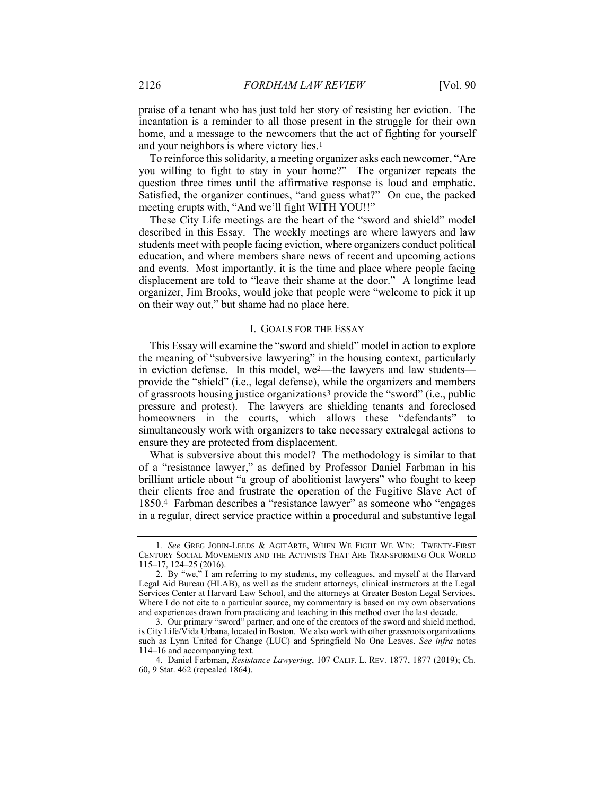praise of a tenant who has just told her story of resisting her eviction. The incantation is a reminder to all those present in the struggle for their own home, and a message to the newcomers that the act of fighting for yourself and your neighbors is where victory lies.1

To reinforce this solidarity, a meeting organizer asks each newcomer, "Are you willing to fight to stay in your home?" The organizer repeats the question three times until the affirmative response is loud and emphatic. Satisfied, the organizer continues, "and guess what?" On cue, the packed meeting erupts with, "And we'll fight WITH YOU!!"

These City Life meetings are the heart of the "sword and shield" model described in this Essay. The weekly meetings are where lawyers and law students meet with people facing eviction, where organizers conduct political education, and where members share news of recent and upcoming actions and events. Most importantly, it is the time and place where people facing displacement are told to "leave their shame at the door." A longtime lead organizer, Jim Brooks, would joke that people were "welcome to pick it up on their way out," but shame had no place here.

#### I. GOALS FOR THE ESSAY

This Essay will examine the "sword and shield" model in action to explore the meaning of "subversive lawyering" in the housing context, particularly in eviction defense. In this model, we2—the lawyers and law students provide the "shield" (i.e., legal defense), while the organizers and members of grassroots housing justice organizations3 provide the "sword" (i.e., public pressure and protest). The lawyers are shielding tenants and foreclosed homeowners in the courts, which allows these "defendants" to simultaneously work with organizers to take necessary extralegal actions to ensure they are protected from displacement.

What is subversive about this model? The methodology is similar to that of a "resistance lawyer," as defined by Professor Daniel Farbman in his brilliant article about "a group of abolitionist lawyers" who fought to keep their clients free and frustrate the operation of the Fugitive Slave Act of 1850.4 Farbman describes a "resistance lawyer" as someone who "engages in a regular, direct service practice within a procedural and substantive legal

<sup>1</sup>. See GREG JOBIN-LEEDS & AGITARTE, WHEN WE FIGHT WE WIN: TWENTY-FIRST CENTURY SOCIAL MOVEMENTS AND THE ACTIVISTS THAT ARE TRANSFORMING OUR WORLD 115–17, 124–25 (2016).

 <sup>2.</sup> By "we," I am referring to my students, my colleagues, and myself at the Harvard Legal Aid Bureau (HLAB), as well as the student attorneys, clinical instructors at the Legal Services Center at Harvard Law School, and the attorneys at Greater Boston Legal Services. Where I do not cite to a particular source, my commentary is based on my own observations and experiences drawn from practicing and teaching in this method over the last decade.

 <sup>3.</sup> Our primary "sword" partner, and one of the creators of the sword and shield method, is City Life/Vida Urbana, located in Boston. We also work with other grassroots organizations such as Lynn United for Change (LUC) and Springfield No One Leaves. See infra notes 114–16 and accompanying text.

 <sup>4.</sup> Daniel Farbman, Resistance Lawyering, 107 CALIF. L. REV. 1877, 1877 (2019); Ch. 60, 9 Stat. 462 (repealed 1864).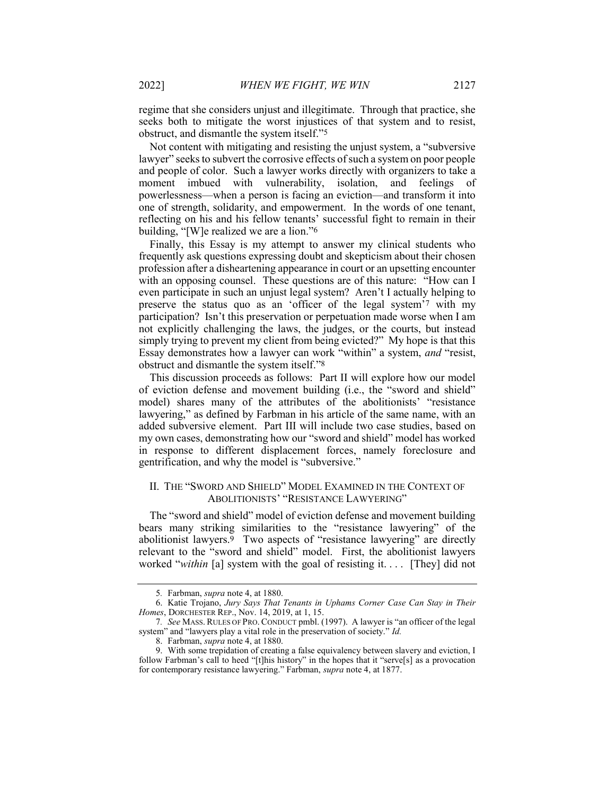regime that she considers unjust and illegitimate. Through that practice, she seeks both to mitigate the worst injustices of that system and to resist, obstruct, and dismantle the system itself."5

Not content with mitigating and resisting the unjust system, a "subversive lawyer" seeks to subvert the corrosive effects of such a system on poor people and people of color. Such a lawyer works directly with organizers to take a moment imbued with vulnerability, isolation, and feelings of powerlessness—when a person is facing an eviction—and transform it into one of strength, solidarity, and empowerment. In the words of one tenant, reflecting on his and his fellow tenants' successful fight to remain in their building, "[W]e realized we are a lion."6

Finally, this Essay is my attempt to answer my clinical students who frequently ask questions expressing doubt and skepticism about their chosen profession after a disheartening appearance in court or an upsetting encounter with an opposing counsel. These questions are of this nature: "How can I even participate in such an unjust legal system? Aren't I actually helping to preserve the status quo as an 'officer of the legal system'7 with my participation? Isn't this preservation or perpetuation made worse when I am not explicitly challenging the laws, the judges, or the courts, but instead simply trying to prevent my client from being evicted?" My hope is that this Essay demonstrates how a lawyer can work "within" a system, and "resist, obstruct and dismantle the system itself."8

This discussion proceeds as follows: Part II will explore how our model of eviction defense and movement building (i.e., the "sword and shield" model) shares many of the attributes of the abolitionists' "resistance lawyering," as defined by Farbman in his article of the same name, with an added subversive element. Part III will include two case studies, based on my own cases, demonstrating how our "sword and shield" model has worked in response to different displacement forces, namely foreclosure and gentrification, and why the model is "subversive."

#### II. THE "SWORD AND SHIELD" MODEL EXAMINED IN THE CONTEXT OF ABOLITIONISTS' "RESISTANCE LAWYERING"

The "sword and shield" model of eviction defense and movement building bears many striking similarities to the "resistance lawyering" of the abolitionist lawyers.9 Two aspects of "resistance lawyering" are directly relevant to the "sword and shield" model. First, the abolitionist lawyers worked "within [a] system with the goal of resisting it.... [They] did not

<sup>5</sup>. Farbman, supra note 4, at 1880.

 <sup>6.</sup> Katie Trojano, Jury Says That Tenants in Uphams Corner Case Can Stay in Their Homes, DORCHESTER REP., Nov. 14, 2019, at 1, 15.

<sup>7</sup>. See MASS. RULES OF PRO. CONDUCT pmbl. (1997). A lawyer is "an officer of the legal system" and "lawyers play a vital role in the preservation of society." Id.

 <sup>8.</sup> Farbman, supra note 4, at 1880.

 <sup>9.</sup> With some trepidation of creating a false equivalency between slavery and eviction, I follow Farbman's call to heed "[t]his history" in the hopes that it "serve[s] as a provocation for contemporary resistance lawyering." Farbman, supra note 4, at 1877.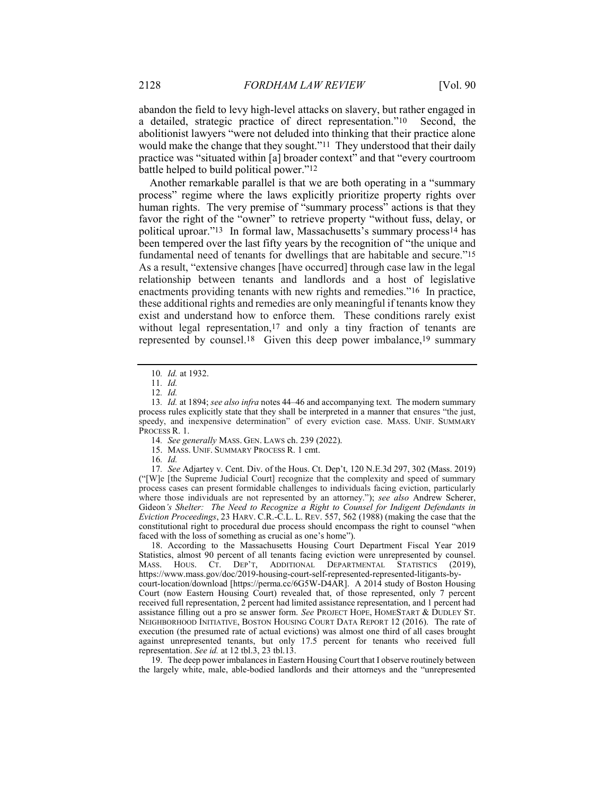abandon the field to levy high-level attacks on slavery, but rather engaged in a detailed, strategic practice of direct representation."10 Second, the abolitionist lawyers "were not deluded into thinking that their practice alone would make the change that they sought."11 They understood that their daily practice was "situated within [a] broader context" and that "every courtroom battle helped to build political power."12

Another remarkable parallel is that we are both operating in a "summary process" regime where the laws explicitly prioritize property rights over human rights. The very premise of "summary process" actions is that they favor the right of the "owner" to retrieve property "without fuss, delay, or political uproar."13 In formal law, Massachusetts's summary process14 has been tempered over the last fifty years by the recognition of "the unique and fundamental need of tenants for dwellings that are habitable and secure."15 As a result, "extensive changes [have occurred] through case law in the legal relationship between tenants and landlords and a host of legislative enactments providing tenants with new rights and remedies."16 In practice, these additional rights and remedies are only meaningful if tenants know they exist and understand how to enforce them. These conditions rarely exist without legal representation,<sup>17</sup> and only a tiny fraction of tenants are represented by counsel.18 Given this deep power imbalance,19 summary

10. Id. at 1932.

16. Id.

17. See Adjartey v. Cent. Div. of the Hous. Ct. Dep't, 120 N.E.3d 297, 302 (Mass. 2019) ("[W]e [the Supreme Judicial Court] recognize that the complexity and speed of summary process cases can present formidable challenges to individuals facing eviction, particularly where those individuals are not represented by an attorney."); see also Andrew Scherer, Gideon's Shelter: The Need to Recognize a Right to Counsel for Indigent Defendants in Eviction Proceedings, 23 HARV. C.R.-C.L. L. REV. 557, 562 (1988) (making the case that the constitutional right to procedural due process should encompass the right to counsel "when faced with the loss of something as crucial as one's home").

 18. According to the Massachusetts Housing Court Department Fiscal Year 2019 Statistics, almost 90 percent of all tenants facing eviction were unrepresented by counsel. MASS. HOUS. CT. DEP'T, ADDITIONAL DEPARTMENTAL STATISTICS (2019), https://www.mass.gov/doc/2019-housing-court-self-represented-represented-litigants-bycourt-location/download [https://perma.cc/6G5W-D4AR]. A 2014 study of Boston Housing Court (now Eastern Housing Court) revealed that, of those represented, only 7 percent received full representation, 2 percent had limited assistance representation, and 1 percent had assistance filling out a pro se answer form. See PROJECT HOPE, HOMESTART & DUDLEY ST. NEIGHBORHOOD INITIATIVE, BOSTON HOUSING COURT DATA REPORT 12 (2016). The rate of execution (the presumed rate of actual evictions) was almost one third of all cases brought against unrepresented tenants, but only 17.5 percent for tenants who received full representation. See id. at 12 tbl.3, 23 tbl.13.

 19. The deep power imbalances in Eastern Housing Court that I observe routinely between the largely white, male, able-bodied landlords and their attorneys and the "unrepresented

<sup>11</sup>. Id.

<sup>12</sup>. Id.

<sup>13.</sup> Id. at 1894; see also infra notes 44–46 and accompanying text. The modern summary process rules explicitly state that they shall be interpreted in a manner that ensures "the just, speedy, and inexpensive determination" of every eviction case. MASS. UNIF. SUMMARY PROCESS R. 1.

<sup>14</sup>. See generally MASS. GEN. LAWS ch. 239 (2022).

 <sup>15.</sup> MASS. UNIF. SUMMARY PROCESS R. 1 cmt.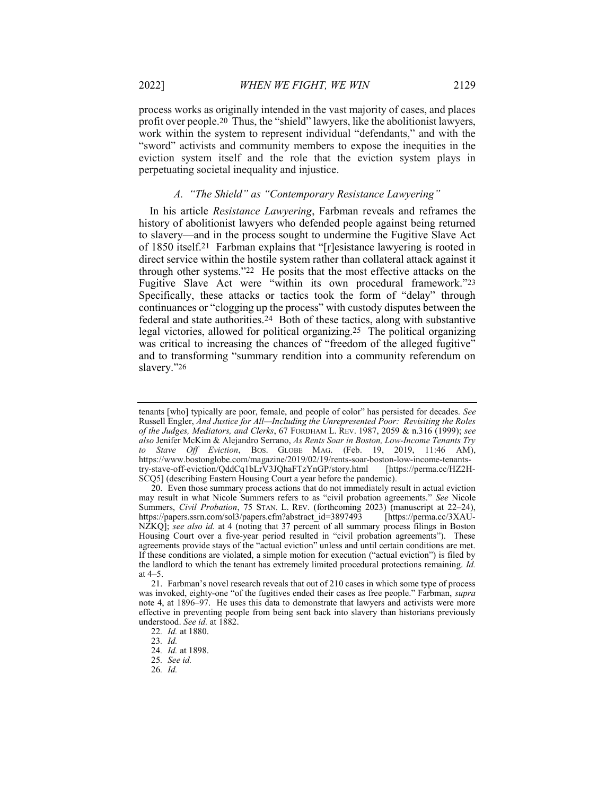process works as originally intended in the vast majority of cases, and places profit over people.20 Thus, the "shield" lawyers, like the abolitionist lawyers, work within the system to represent individual "defendants," and with the "sword" activists and community members to expose the inequities in the eviction system itself and the role that the eviction system plays in perpetuating societal inequality and injustice.

#### A. "The Shield" as "Contemporary Resistance Lawyering"

In his article Resistance Lawyering, Farbman reveals and reframes the history of abolitionist lawyers who defended people against being returned to slavery—and in the process sought to undermine the Fugitive Slave Act of 1850 itself.21 Farbman explains that "[r]esistance lawyering is rooted in direct service within the hostile system rather than collateral attack against it through other systems."22 He posits that the most effective attacks on the Fugitive Slave Act were "within its own procedural framework."23 Specifically, these attacks or tactics took the form of "delay" through continuances or "clogging up the process" with custody disputes between the federal and state authorities.24 Both of these tactics, along with substantive legal victories, allowed for political organizing.25 The political organizing was critical to increasing the chances of "freedom of the alleged fugitive" and to transforming "summary rendition into a community referendum on slavery."26

tenants [who] typically are poor, female, and people of color" has persisted for decades. See Russell Engler, And Justice for All—Including the Unrepresented Poor: Revisiting the Roles of the Judges, Mediators, and Clerks, 67 FORDHAM L. REV. 1987, 2059 & n.316 (1999); see also Jenifer McKim & Alejandro Serrano, As Rents Soar in Boston, Low-Income Tenants Try to Stave Off Eviction, Bos. GLOBE MAG. (Feb. 19, 2019, 11:46 AM), https://www.bostonglobe.com/magazine/2019/02/19/rents-soar-boston-low-income-tenantstry-stave-off-eviction/QddCq1bLrV3JQhaFTzYnGP/story.html [https://perma.cc/HZ2H-SCQ5] (describing Eastern Housing Court a year before the pandemic).

 <sup>20.</sup> Even those summary process actions that do not immediately result in actual eviction may result in what Nicole Summers refers to as "civil probation agreements." See Nicole Summers, Civil Probation, 75 STAN. L. REV. (forthcoming 2023) (manuscript at 22–24), https://papers.ssrn.com/sol3/papers.cfm?abstract\_id=3897493 [https://perma.cc/3XAU-NZKQ]; see also id. at 4 (noting that 37 percent of all summary process filings in Boston Housing Court over a five-year period resulted in "civil probation agreements"). These agreements provide stays of the "actual eviction" unless and until certain conditions are met. If these conditions are violated, a simple motion for execution ("actual eviction") is filed by the landlord to which the tenant has extremely limited procedural protections remaining. Id. at 4–5.

 <sup>21.</sup> Farbman's novel research reveals that out of 210 cases in which some type of process was invoked, eighty-one "of the fugitives ended their cases as free people." Farbman, *supra* note 4, at 1896–97. He uses this data to demonstrate that lawyers and activists were more effective in preventing people from being sent back into slavery than historians previously understood. See id. at 1882.

<sup>22</sup>. Id. at 1880.

<sup>23</sup>. Id.

<sup>24</sup>. Id. at 1898.

<sup>25</sup>. See id.

<sup>26</sup>. Id.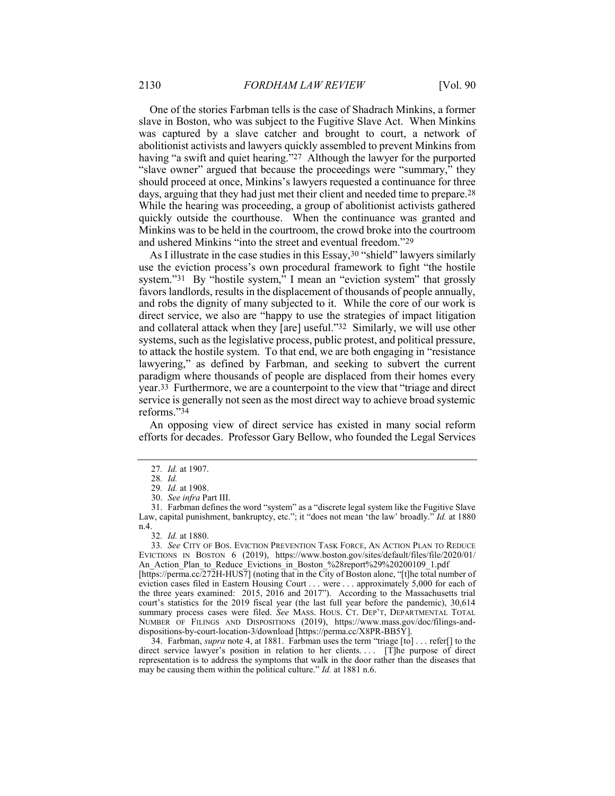One of the stories Farbman tells is the case of Shadrach Minkins, a former slave in Boston, who was subject to the Fugitive Slave Act. When Minkins was captured by a slave catcher and brought to court, a network of abolitionist activists and lawyers quickly assembled to prevent Minkins from having "a swift and quiet hearing."27 Although the lawyer for the purported "slave owner" argued that because the proceedings were "summary," they should proceed at once, Minkins's lawyers requested a continuance for three days, arguing that they had just met their client and needed time to prepare.28 While the hearing was proceeding, a group of abolitionist activists gathered quickly outside the courthouse. When the continuance was granted and Minkins was to be held in the courtroom, the crowd broke into the courtroom and ushered Minkins "into the street and eventual freedom."29

As I illustrate in the case studies in this Essay,<sup>30</sup> "shield" lawyers similarly use the eviction process's own procedural framework to fight "the hostile system."31 By "hostile system," I mean an "eviction system" that grossly favors landlords, results in the displacement of thousands of people annually, and robs the dignity of many subjected to it. While the core of our work is direct service, we also are "happy to use the strategies of impact litigation and collateral attack when they [are] useful."32 Similarly, we will use other systems, such as the legislative process, public protest, and political pressure, to attack the hostile system. To that end, we are both engaging in "resistance lawyering," as defined by Farbman, and seeking to subvert the current paradigm where thousands of people are displaced from their homes every year.33 Furthermore, we are a counterpoint to the view that "triage and direct service is generally not seen as the most direct way to achieve broad systemic reforms."34

An opposing view of direct service has existed in many social reform efforts for decades. Professor Gary Bellow, who founded the Legal Services

33. See CITY OF BOS. EVICTION PREVENTION TASK FORCE, AN ACTION PLAN TO REDUCE EVICTIONS IN BOSTON 6 (2019), https://www.boston.gov/sites/default/files/file/2020/01/ An Action Plan to Reduce Evictions in Boston %28report%29%20200109 1.pdf

[https://perma.cc/272H-HUS7] (noting that in the City of Boston alone, "[t]he total number of eviction cases filed in Eastern Housing Court . . . were . . . approximately 5,000 for each of the three years examined: 2015, 2016 and 2017"). According to the Massachusetts trial court's statistics for the 2019 fiscal year (the last full year before the pandemic), 30,614 summary process cases were filed. See MASS. HOUS. CT. DEP'T, DEPARTMENTAL TOTAL NUMBER OF FILINGS AND DISPOSITIONS (2019), https://www.mass.gov/doc/filings-anddispositions-by-court-location-3/download [https://perma.cc/X8PR-BB5Y].

34. Farbman, *supra* note 4, at 1881. Farbman uses the term "triage  $[$ to $] \ldots$  refer $[]$  to the direct service lawyer's position in relation to her clients. . . . [T]he purpose of direct representation is to address the symptoms that walk in the door rather than the diseases that may be causing them within the political culture." Id. at 1881 n.6.

<sup>27</sup>. Id. at 1907.

<sup>28</sup>. Id.

<sup>29</sup>. Id. at 1908.

 <sup>30.</sup> See infra Part III.

 <sup>31.</sup> Farbman defines the word "system" as a "discrete legal system like the Fugitive Slave Law, capital punishment, bankruptcy, etc."; it "does not mean 'the law' broadly." Id. at 1880 n.4.

<sup>32</sup>. Id. at 1880.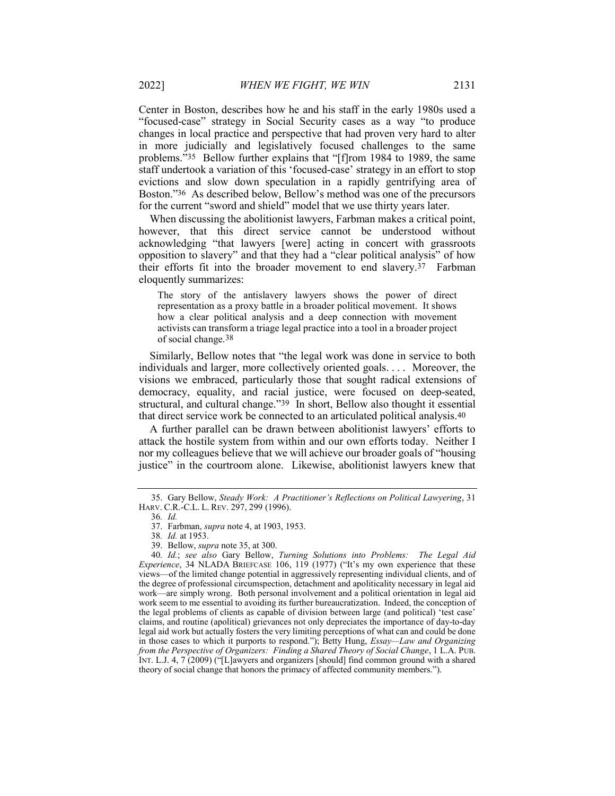Center in Boston, describes how he and his staff in the early 1980s used a "focused-case" strategy in Social Security cases as a way "to produce changes in local practice and perspective that had proven very hard to alter in more judicially and legislatively focused challenges to the same problems."35 Bellow further explains that "[f]rom 1984 to 1989, the same staff undertook a variation of this 'focused-case' strategy in an effort to stop evictions and slow down speculation in a rapidly gentrifying area of Boston."36 As described below, Bellow's method was one of the precursors for the current "sword and shield" model that we use thirty years later.

When discussing the abolitionist lawyers, Farbman makes a critical point, however, that this direct service cannot be understood without acknowledging "that lawyers [were] acting in concert with grassroots opposition to slavery" and that they had a "clear political analysis" of how their efforts fit into the broader movement to end slavery.37 Farbman eloquently summarizes:

The story of the antislavery lawyers shows the power of direct representation as a proxy battle in a broader political movement. It shows how a clear political analysis and a deep connection with movement activists can transform a triage legal practice into a tool in a broader project of social change.38

Similarly, Bellow notes that "the legal work was done in service to both individuals and larger, more collectively oriented goals. . . . Moreover, the visions we embraced, particularly those that sought radical extensions of democracy, equality, and racial justice, were focused on deep-seated, structural, and cultural change."39 In short, Bellow also thought it essential that direct service work be connected to an articulated political analysis.40

A further parallel can be drawn between abolitionist lawyers' efforts to attack the hostile system from within and our own efforts today. Neither I nor my colleagues believe that we will achieve our broader goals of "housing justice" in the courtroom alone. Likewise, abolitionist lawyers knew that

 <sup>35.</sup> Gary Bellow, Steady Work: A Practitioner's Reflections on Political Lawyering, 31 HARV. C.R.-C.L. L. REV. 297, 299 (1996).

<sup>36</sup>. Id.

 <sup>37.</sup> Farbman, supra note 4, at 1903, 1953.

<sup>38</sup>. Id. at 1953.

 <sup>39.</sup> Bellow, supra note 35, at 300.

<sup>40</sup>. Id.; see also Gary Bellow, Turning Solutions into Problems: The Legal Aid Experience, 34 NLADA BRIEFCASE 106, 119 (1977) ("It's my own experience that these views—of the limited change potential in aggressively representing individual clients, and of the degree of professional circumspection, detachment and apoliticality necessary in legal aid work—are simply wrong. Both personal involvement and a political orientation in legal aid work seem to me essential to avoiding its further bureaucratization. Indeed, the conception of the legal problems of clients as capable of division between large (and political) 'test case' claims, and routine (apolitical) grievances not only depreciates the importance of day-to-day legal aid work but actually fosters the very limiting perceptions of what can and could be done in those cases to which it purports to respond."); Betty Hung, *Essay—Law and Organizing* from the Perspective of Organizers: Finding a Shared Theory of Social Change, 1 L.A. PUB. INT. L.J. 4, 7 (2009) ("[L]awyers and organizers [should] find common ground with a shared theory of social change that honors the primacy of affected community members.").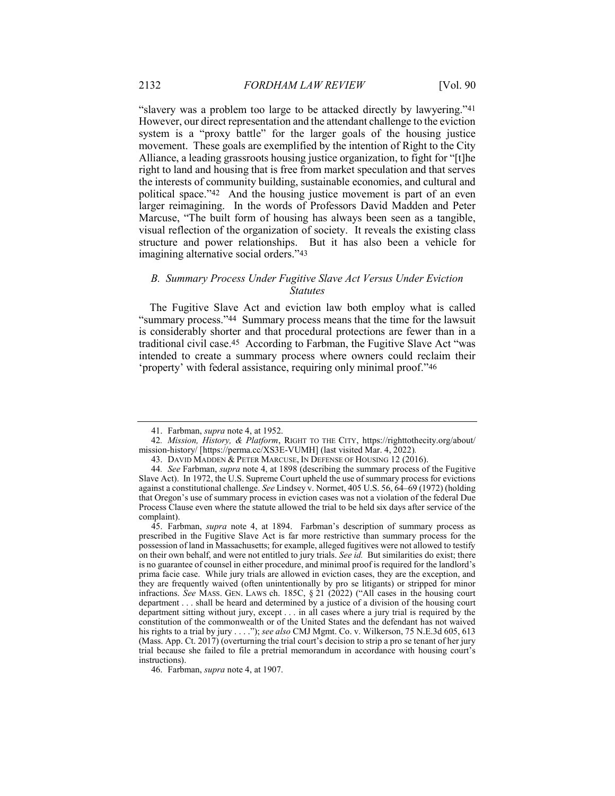"slavery was a problem too large to be attacked directly by lawyering."41 However, our direct representation and the attendant challenge to the eviction system is a "proxy battle" for the larger goals of the housing justice movement. These goals are exemplified by the intention of Right to the City Alliance, a leading grassroots housing justice organization, to fight for "[t]he right to land and housing that is free from market speculation and that serves the interests of community building, sustainable economies, and cultural and political space."42 And the housing justice movement is part of an even larger reimagining. In the words of Professors David Madden and Peter Marcuse, "The built form of housing has always been seen as a tangible, visual reflection of the organization of society. It reveals the existing class structure and power relationships. But it has also been a vehicle for imagining alternative social orders."43

#### B. Summary Process Under Fugitive Slave Act Versus Under Eviction **Statutes**

The Fugitive Slave Act and eviction law both employ what is called "summary process."44 Summary process means that the time for the lawsuit is considerably shorter and that procedural protections are fewer than in a traditional civil case.45 According to Farbman, the Fugitive Slave Act "was intended to create a summary process where owners could reclaim their 'property' with federal assistance, requiring only minimal proof."46

 <sup>41.</sup> Farbman, supra note 4, at 1952.

<sup>42.</sup> Mission, History, & Platform, RIGHT TO THE CITY, https://righttothecity.org/about/ mission-history/ [https://perma.cc/XS3E-VUMH] (last visited Mar. 4, 2022).

 <sup>43.</sup> DAVID MADDEN & PETER MARCUSE, IN DEFENSE OF HOUSING 12 (2016).

<sup>44.</sup> See Farbman, supra note 4, at 1898 (describing the summary process of the Fugitive Slave Act). In 1972, the U.S. Supreme Court upheld the use of summary process for evictions against a constitutional challenge. See Lindsey v. Normet, 405 U.S. 56, 64–69 (1972) (holding that Oregon's use of summary process in eviction cases was not a violation of the federal Due Process Clause even where the statute allowed the trial to be held six days after service of the complaint).

 <sup>45.</sup> Farbman, supra note 4, at 1894. Farbman's description of summary process as prescribed in the Fugitive Slave Act is far more restrictive than summary process for the possession of land in Massachusetts; for example, alleged fugitives were not allowed to testify on their own behalf, and were not entitled to jury trials. See id. But similarities do exist; there is no guarantee of counsel in either procedure, and minimal proof is required for the landlord's prima facie case. While jury trials are allowed in eviction cases, they are the exception, and they are frequently waived (often unintentionally by pro se litigants) or stripped for minor infractions. See MASS. GEN. LAWS ch. 185C, § 21 (2022) ("All cases in the housing court department . . . shall be heard and determined by a justice of a division of the housing court department sitting without jury, except . . . in all cases where a jury trial is required by the constitution of the commonwealth or of the United States and the defendant has not waived his rights to a trial by jury . . . ."); see also CMJ Mgmt. Co. v. Wilkerson, 75 N.E.3d 605, 613 (Mass. App. Ct. 2017) (overturning the trial court's decision to strip a pro se tenant of her jury trial because she failed to file a pretrial memorandum in accordance with housing court's instructions).

 <sup>46.</sup> Farbman, supra note 4, at 1907.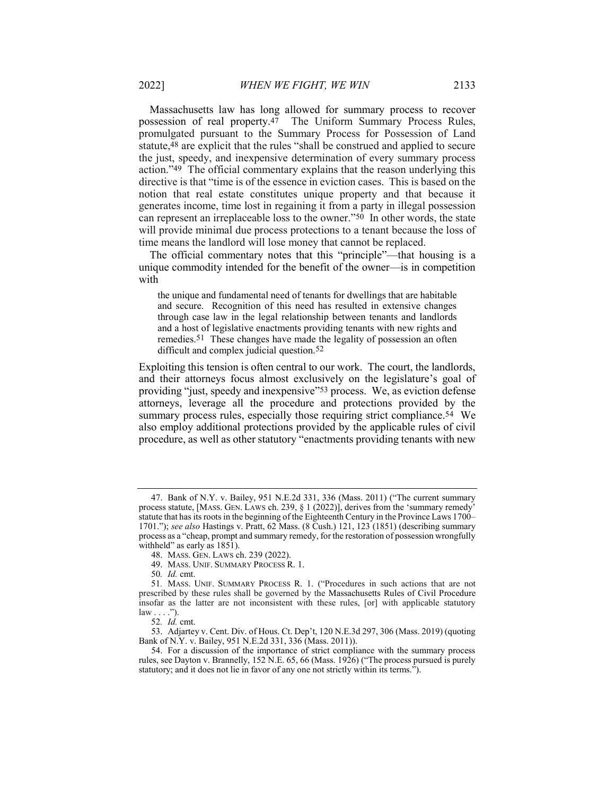Massachusetts law has long allowed for summary process to recover possession of real property.47 The Uniform Summary Process Rules, promulgated pursuant to the Summary Process for Possession of Land statute,48 are explicit that the rules "shall be construed and applied to secure the just, speedy, and inexpensive determination of every summary process action."49 The official commentary explains that the reason underlying this directive is that "time is of the essence in eviction cases. This is based on the notion that real estate constitutes unique property and that because it generates income, time lost in regaining it from a party in illegal possession can represent an irreplaceable loss to the owner."50 In other words, the state will provide minimal due process protections to a tenant because the loss of time means the landlord will lose money that cannot be replaced.

The official commentary notes that this "principle"—that housing is a unique commodity intended for the benefit of the owner—is in competition with

the unique and fundamental need of tenants for dwellings that are habitable and secure. Recognition of this need has resulted in extensive changes through case law in the legal relationship between tenants and landlords and a host of legislative enactments providing tenants with new rights and remedies.51 These changes have made the legality of possession an often difficult and complex judicial question.<sup>52</sup>

Exploiting this tension is often central to our work. The court, the landlords, and their attorneys focus almost exclusively on the legislature's goal of providing "just, speedy and inexpensive"<sup>53</sup> process. We, as eviction defense attorneys, leverage all the procedure and protections provided by the summary process rules, especially those requiring strict compliance.<sup>54</sup> We also employ additional protections provided by the applicable rules of civil procedure, as well as other statutory "enactments providing tenants with new

<sup>47.</sup> Bank of N.Y. v. Bailey, 951 N.E.2d 331, 336 (Mass. 2011) ("The current summary process statute, [MASS. GEN. LAWS ch. 239, § 1 (2022)], derives from the 'summary remedy' statute that has its roots in the beginning of the Eighteenth Century in the Province Laws 1700– 1701."); see also Hastings v. Pratt, 62 Mass. (8 Cush.) 121, 123 (1851) (describing summary process as a "cheap, prompt and summary remedy, for the restoration of possession wrongfully withheld" as early as 1851).

 <sup>48.</sup> MASS. GEN. LAWS ch. 239 (2022).

 <sup>49.</sup> MASS. UNIF. SUMMARY PROCESS R. 1.

<sup>50</sup>. Id. cmt.

<sup>51</sup>. MASS. UNIF. SUMMARY PROCESS R. 1. ("Procedures in such actions that are not prescribed by these rules shall be governed by the Massachusetts Rules of Civil Procedure insofar as the latter are not inconsistent with these rules, [or] with applicable statutory  $law \ldots$ ").

<sup>52</sup>. Id. cmt.

 <sup>53.</sup> Adjartey v. Cent. Div. of Hous. Ct. Dep't, 120 N.E.3d 297, 306 (Mass. 2019) (quoting Bank of N.Y. v. Bailey, 951 N.E.2d 331, 336 (Mass. 2011)).

 <sup>54.</sup> For a discussion of the importance of strict compliance with the summary process rules, see Dayton v. Brannelly, 152 N.E. 65, 66 (Mass. 1926) ("The process pursued is purely statutory; and it does not lie in favor of any one not strictly within its terms.").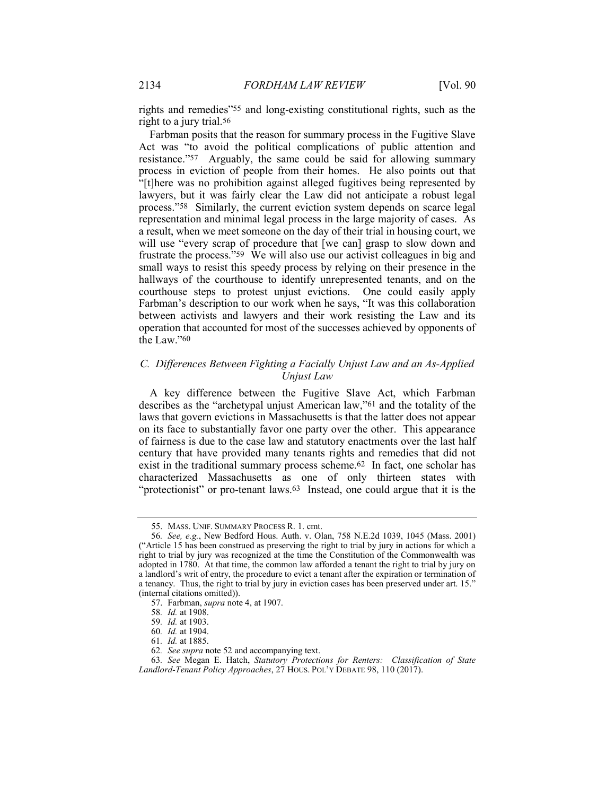rights and remedies"55 and long-existing constitutional rights, such as the right to a jury trial.56

Farbman posits that the reason for summary process in the Fugitive Slave Act was "to avoid the political complications of public attention and resistance."57 Arguably, the same could be said for allowing summary process in eviction of people from their homes. He also points out that "[t]here was no prohibition against alleged fugitives being represented by lawyers, but it was fairly clear the Law did not anticipate a robust legal process."58 Similarly, the current eviction system depends on scarce legal representation and minimal legal process in the large majority of cases. As a result, when we meet someone on the day of their trial in housing court, we will use "every scrap of procedure that [we can] grasp to slow down and frustrate the process."59 We will also use our activist colleagues in big and small ways to resist this speedy process by relying on their presence in the hallways of the courthouse to identify unrepresented tenants, and on the courthouse steps to protest unjust evictions. One could easily apply Farbman's description to our work when he says, "It was this collaboration between activists and lawyers and their work resisting the Law and its operation that accounted for most of the successes achieved by opponents of the Law."60

#### C. Differences Between Fighting a Facially Unjust Law and an As-Applied Unjust Law

A key difference between the Fugitive Slave Act, which Farbman describes as the "archetypal unjust American law,"61 and the totality of the laws that govern evictions in Massachusetts is that the latter does not appear on its face to substantially favor one party over the other. This appearance of fairness is due to the case law and statutory enactments over the last half century that have provided many tenants rights and remedies that did not exist in the traditional summary process scheme.62 In fact, one scholar has characterized Massachusetts as one of only thirteen states with "protectionist" or pro-tenant laws.<sup>63</sup> Instead, one could argue that it is the

 <sup>55.</sup> MASS. UNIF. SUMMARY PROCESS R. 1. cmt.

<sup>56</sup>. See, e.g., New Bedford Hous. Auth. v. Olan, 758 N.E.2d 1039, 1045 (Mass. 2001) ("Article 15 has been construed as preserving the right to trial by jury in actions for which a right to trial by jury was recognized at the time the Constitution of the Commonwealth was adopted in 1780. At that time, the common law afforded a tenant the right to trial by jury on a landlord's writ of entry, the procedure to evict a tenant after the expiration or termination of a tenancy. Thus, the right to trial by jury in eviction cases has been preserved under art. 15." (internal citations omitted)).

 <sup>57.</sup> Farbman, supra note 4, at 1907.

<sup>58</sup>. Id. at 1908.

<sup>59</sup>. Id. at 1903.

<sup>60</sup>. Id. at 1904.

<sup>61</sup>. Id. at 1885.

<sup>62</sup>. See supra note 52 and accompanying text.

<sup>63</sup>. See Megan E. Hatch, Statutory Protections for Renters: Classification of State Landlord-Tenant Policy Approaches, 27 HOUS. POL'Y DEBATE 98, 110 (2017).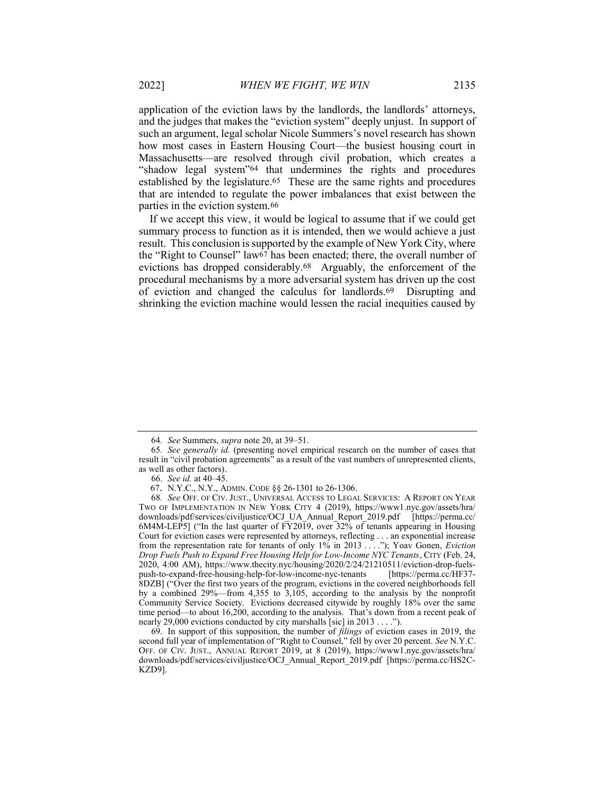application of the eviction laws by the landlords, the landlords' attorneys, and the judges that makes the "eviction system" deeply unjust. In support of such an argument, legal scholar Nicole Summers's novel research has shown how most cases in Eastern Housing Court—the busiest housing court in Massachusetts—are resolved through civil probation, which creates a "shadow legal system"64 that undermines the rights and procedures established by the legislature.<sup>65</sup> These are the same rights and procedures that are intended to regulate the power imbalances that exist between the parties in the eviction system.66

If we accept this view, it would be logical to assume that if we could get summary process to function as it is intended, then we would achieve a just result. This conclusion is supported by the example of New York City, where the "Right to Counsel" law67 has been enacted; there, the overall number of evictions has dropped considerably.68 Arguably, the enforcement of the procedural mechanisms by a more adversarial system has driven up the cost of eviction and changed the calculus for landlords.69 Disrupting and shrinking the eviction machine would lessen the racial inequities caused by

69. In support of this supposition, the number of *filings* of eviction cases in 2019, the second full year of implementation of "Right to Counsel," fell by over 20 percent. See N.Y.C. OFF. OF CIV. JUST., ANNUAL REPORT 2019, at 8 (2019), https://www1.nyc.gov/assets/hra/ downloads/pdf/services/civiljustice/OCJ\_Annual\_Report\_2019.pdf [https://perma.cc/HS2C-KZD9].

<sup>64</sup>. See Summers, supra note 20, at 39–51.

<sup>65</sup>. See generally id. (presenting novel empirical research on the number of cases that result in "civil probation agreements" as a result of the vast numbers of unrepresented clients, as well as other factors).

 <sup>66.</sup> See id. at 40–45.

<sup>67</sup>. N.Y.C., N.Y., ADMIN. CODE §§ 26-1301 to 26-1306.

<sup>68</sup>. See OFF. OF CIV. JUST., UNIVERSAL ACCESS TO LEGAL SERVICES: A REPORT ON YEAR TWO OF IMPLEMENTATION IN NEW YORK CITY 4 (2019), https://www1.nyc.gov/assets/hra/ downloads/pdf/services/civiljustice/OCJ\_UA\_Annual\_Report\_2019.pdf [https://perma.cc/ 6M4M-LEP5] ("In the last quarter of FY2019, over 32% of tenants appearing in Housing Court for eviction cases were represented by attorneys, reflecting . . . an exponential increase from the representation rate for tenants of only 1% in 2013 . . . ."); Yoav Gonen, *Eviction* Drop Fuels Push to Expand Free Housing Help for Low-Income NYC Tenants, CITY (Feb. 24, 2020, 4:00 AM), https://www.thecity.nyc/housing/2020/2/24/21210511/eviction-drop-fuelspush-to-expand-free-housing-help-for-low-income-nyc-tenants [https://perma.cc/HF37- 8DZB] ("Over the first two years of the program, evictions in the covered neighborhoods fell by a combined 29%—from 4,355 to 3,105, according to the analysis by the nonprofit Community Service Society. Evictions decreased citywide by roughly 18% over the same time period—to about 16,200, according to the analysis. That's down from a recent peak of nearly 29,000 evictions conducted by city marshalls [sic] in 2013 . . . .").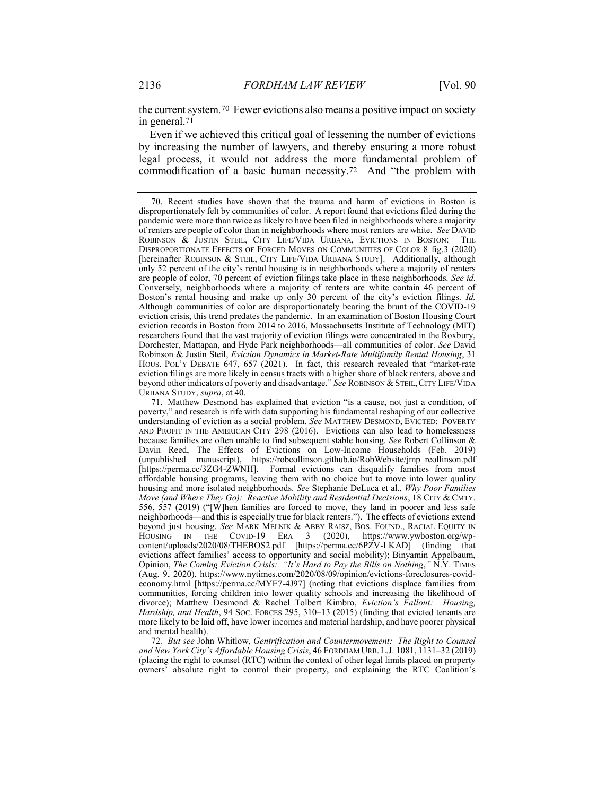the current system.70 Fewer evictions also means a positive impact on society in general.71

Even if we achieved this critical goal of lessening the number of evictions by increasing the number of lawyers, and thereby ensuring a more robust legal process, it would not address the more fundamental problem of commodification of a basic human necessity.72 And "the problem with

72. But see John Whitlow, Gentrification and Countermovement: The Right to Counsel and New York City's Affordable Housing Crisis, 46 FORDHAM URB. L.J. 1081, 1131–32 (2019) (placing the right to counsel (RTC) within the context of other legal limits placed on property owners' absolute right to control their property, and explaining the RTC Coalition's

 <sup>70.</sup> Recent studies have shown that the trauma and harm of evictions in Boston is disproportionately felt by communities of color. A report found that evictions filed during the pandemic were more than twice as likely to have been filed in neighborhoods where a majority of renters are people of color than in neighborhoods where most renters are white. See DAVID ROBINSON & JUSTIN STEIL, CITY LIFE/VIDA URBANA, EVICTIONS IN BOSTON: THE DISPROPORTIONATE EFFECTS OF FORCED MOVES ON COMMUNITIES OF COLOR 8 fig.3 (2020) [hereinafter ROBINSON & STEIL, CITY LIFE/VIDA URBANA STUDY]. Additionally, although only 52 percent of the city's rental housing is in neighborhoods where a majority of renters are people of color, 70 percent of eviction filings take place in these neighborhoods. See id. Conversely, neighborhoods where a majority of renters are white contain 46 percent of Boston's rental housing and make up only 30 percent of the city's eviction filings. Id. Although communities of color are disproportionately bearing the brunt of the COVID-19 eviction crisis, this trend predates the pandemic. In an examination of Boston Housing Court eviction records in Boston from 2014 to 2016, Massachusetts Institute of Technology (MIT) researchers found that the vast majority of eviction filings were concentrated in the Roxbury, Dorchester, Mattapan, and Hyde Park neighborhoods—all communities of color. See David Robinson & Justin Steil, Eviction Dynamics in Market-Rate Multifamily Rental Housing, 31 HOUS. POL'Y DEBATE 647, 657 (2021). In fact, this research revealed that "market-rate eviction filings are more likely in census tracts with a higher share of black renters, above and beyond other indicators of poverty and disadvantage." See ROBINSON & STEIL,CITY LIFE/VIDA URBANA STUDY, supra, at 40.

 <sup>71.</sup> Matthew Desmond has explained that eviction "is a cause, not just a condition, of poverty," and research is rife with data supporting his fundamental reshaping of our collective understanding of eviction as a social problem. See MATTHEW DESMOND, EVICTED: POVERTY AND PROFIT IN THE AMERICAN CITY 298 (2016). Evictions can also lead to homelessness because families are often unable to find subsequent stable housing. See Robert Collinson & Davin Reed, The Effects of Evictions on Low-Income Households (Feb. 2019) (unpublished manuscript), https://robcollinson.github.io/RobWebsite/jmp\_rcollinson.pdf [https://perma.cc/3ZG4-ZWNH]. Formal evictions can disqualify families from most affordable housing programs, leaving them with no choice but to move into lower quality housing and more isolated neighborhoods. See Stephanie DeLuca et al., Why Poor Families Move (and Where They Go): Reactive Mobility and Residential Decisions, 18 CITY & CMTY. 556, 557 (2019) ("[W]hen families are forced to move, they land in poorer and less safe neighborhoods—and this is especially true for black renters."). The effects of evictions extend beyond just housing. See MARK MELNIK & ABBY RAISZ, BOS. FOUND., RACIAL EQUITY IN HOUSING IN THE COVID-19 ERA 3 (2020), https://www.ywboston.org/wp-HOUSING IN THE COVID-19 ERA 3 (2020), https://www.ywboston.org/wpcontent/uploads/2020/08/THEBOS2.pdf [https://perma.cc/6PZV-LKAD] (finding that evictions affect families' access to opportunity and social mobility); Binyamin Appelbaum, Opinion, The Coming Eviction Crisis: "It's Hard to Pay the Bills on Nothing," N.Y. TIMES (Aug. 9, 2020), https://www.nytimes.com/2020/08/09/opinion/evictions-foreclosures-covideconomy.html [https://perma.cc/MYE7-4J97] (noting that evictions displace families from communities, forcing children into lower quality schools and increasing the likelihood of divorce); Matthew Desmond & Rachel Tolbert Kimbro, Eviction's Fallout: Housing, Hardship, and Health, 94 Soc. Forces 295, 310-13 (2015) (finding that evicted tenants are more likely to be laid off, have lower incomes and material hardship, and have poorer physical and mental health).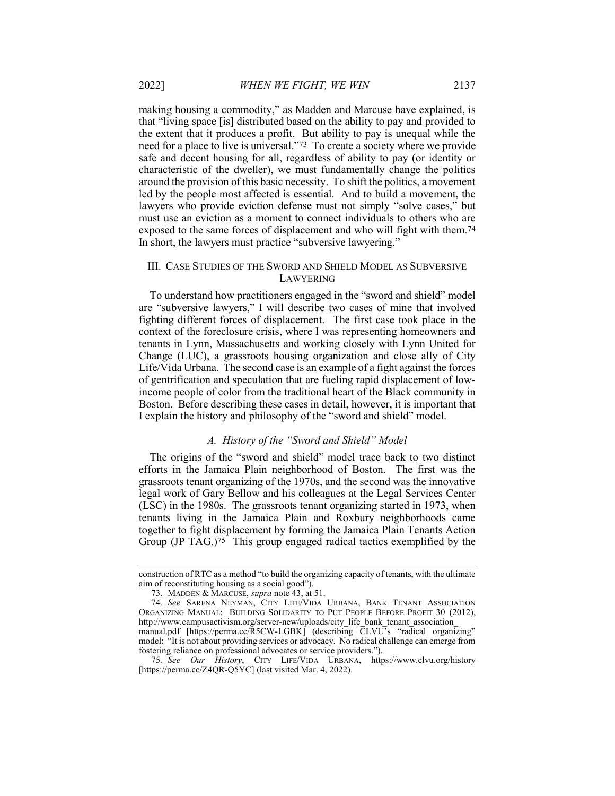making housing a commodity," as Madden and Marcuse have explained, is that "living space [is] distributed based on the ability to pay and provided to the extent that it produces a profit. But ability to pay is unequal while the need for a place to live is universal."73 To create a society where we provide safe and decent housing for all, regardless of ability to pay (or identity or characteristic of the dweller), we must fundamentally change the politics around the provision of this basic necessity. To shift the politics, a movement led by the people most affected is essential. And to build a movement, the lawyers who provide eviction defense must not simply "solve cases," but must use an eviction as a moment to connect individuals to others who are exposed to the same forces of displacement and who will fight with them.74 In short, the lawyers must practice "subversive lawyering."

#### III. CASE STUDIES OF THE SWORD AND SHIELD MODEL AS SUBVERSIVE LAWYERING

To understand how practitioners engaged in the "sword and shield" model are "subversive lawyers," I will describe two cases of mine that involved fighting different forces of displacement. The first case took place in the context of the foreclosure crisis, where I was representing homeowners and tenants in Lynn, Massachusetts and working closely with Lynn United for Change (LUC), a grassroots housing organization and close ally of City Life/Vida Urbana. The second case is an example of a fight against the forces of gentrification and speculation that are fueling rapid displacement of lowincome people of color from the traditional heart of the Black community in Boston. Before describing these cases in detail, however, it is important that I explain the history and philosophy of the "sword and shield" model.

#### A. History of the "Sword and Shield" Model

The origins of the "sword and shield" model trace back to two distinct efforts in the Jamaica Plain neighborhood of Boston. The first was the grassroots tenant organizing of the 1970s, and the second was the innovative legal work of Gary Bellow and his colleagues at the Legal Services Center (LSC) in the 1980s. The grassroots tenant organizing started in 1973, when tenants living in the Jamaica Plain and Roxbury neighborhoods came together to fight displacement by forming the Jamaica Plain Tenants Action Group (JP TAG.)75 This group engaged radical tactics exemplified by the

construction of RTC as a method "to build the organizing capacity of tenants, with the ultimate aim of reconstituting housing as a social good").

<sup>73.</sup> MADDEN & MARCUSE, *supra* note 43, at 51.

<sup>74</sup>. See SARENA NEYMAN, CITY LIFE/VIDA URBANA, BANK TENANT ASSOCIATION ORGANIZING MANUAL: BUILDING SOLIDARITY TO PUT PEOPLE BEFORE PROFIT 30 (2012), http://www.campusactivism.org/server-new/uploads/city\_life\_bank\_tenant\_association\_ manual.pdf [https://perma.cc/R5CW-LGBK] (describing CLVU's "radical organizing" model: "It is not about providing services or advocacy. No radical challenge can emerge from fostering reliance on professional advocates or service providers.").

<sup>75</sup>. See Our History, CITY LIFE/VIDA URBANA, https://www.clvu.org/history [https://perma.cc/Z4QR-Q5YC] (last visited Mar. 4, 2022).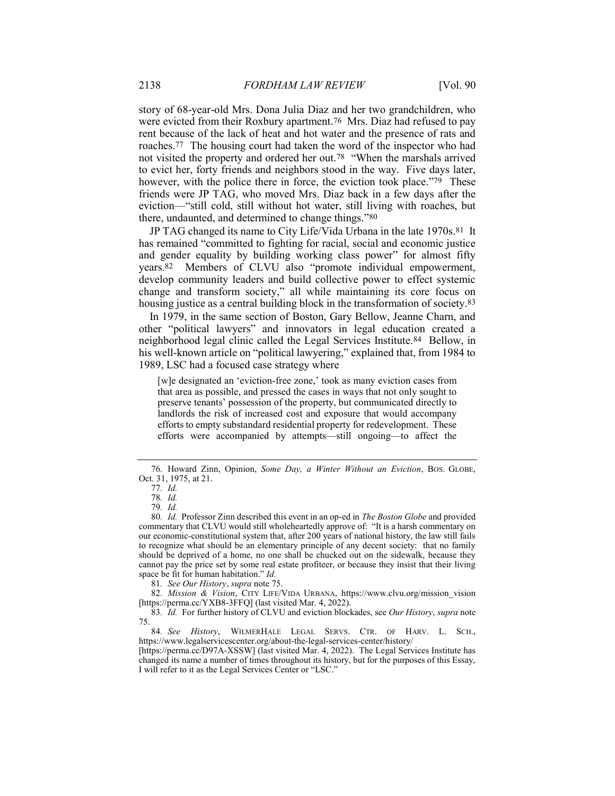story of 68-year-old Mrs. Dona Julia Diaz and her two grandchildren, who were evicted from their Roxbury apartment.76 Mrs. Diaz had refused to pay rent because of the lack of heat and hot water and the presence of rats and roaches.77 The housing court had taken the word of the inspector who had not visited the property and ordered her out.78 "When the marshals arrived to evict her, forty friends and neighbors stood in the way. Five days later, however, with the police there in force, the eviction took place."79 These friends were JP TAG, who moved Mrs. Diaz back in a few days after the eviction—"still cold, still without hot water, still living with roaches, but there, undaunted, and determined to change things."80

JP TAG changed its name to City Life/Vida Urbana in the late 1970s.81 It has remained "committed to fighting for racial, social and economic justice and gender equality by building working class power" for almost fifty years.82 Members of CLVU also "promote individual empowerment, develop community leaders and build collective power to effect systemic change and transform society," all while maintaining its core focus on housing justice as a central building block in the transformation of society.83

In 1979, in the same section of Boston, Gary Bellow, Jeanne Charn, and other "political lawyers" and innovators in legal education created a neighborhood legal clinic called the Legal Services Institute.84 Bellow, in his well-known article on "political lawyering," explained that, from 1984 to 1989, LSC had a focused case strategy where

[w]e designated an 'eviction-free zone,' took as many eviction cases from that area as possible, and pressed the cases in ways that not only sought to preserve tenants' possession of the property, but communicated directly to landlords the risk of increased cost and exposure that would accompany efforts to empty substandard residential property for redevelopment. These efforts were accompanied by attempts—still ongoing—to affect the

81. See Our History, supra note 75.

<sup>76.</sup> Howard Zinn, Opinion, Some Day, a Winter Without an Eviction, Bos. GLOBE, Oct. 31, 1975, at 21.

<sup>77</sup>. Id.

<sup>78</sup>. Id.

<sup>79</sup>. Id.

<sup>80</sup>. Id. Professor Zinn described this event in an op-ed in The Boston Globe and provided commentary that CLVU would still wholeheartedly approve of: "It is a harsh commentary on our economic-constitutional system that, after 200 years of national history, the law still fails to recognize what should be an elementary principle of any decent society: that no family should be deprived of a home, no one shall be chucked out on the sidewalk, because they cannot pay the price set by some real estate profiteer, or because they insist that their living space be fit for human habitation." Id.

<sup>82.</sup> Mission & Vision, CITY LIFE/VIDA URBANA, https://www.clvu.org/mission\_vision [https://perma.cc/YXB8-3FFQ] (last visited Mar. 4, 2022).

<sup>83.</sup> Id. For further history of CLVU and eviction blockades, see Our History, supra note 75.

<sup>84</sup>. See History, WILMERHALE LEGAL SERVS. CTR. OF HARV. L. SCH., https://www.legalservicescenter.org/about-the-legal-services-center/history/

<sup>[</sup>https://perma.cc/D97A-XSSW] (last visited Mar. 4, 2022). The Legal Services Institute has changed its name a number of times throughout its history, but for the purposes of this Essay, I will refer to it as the Legal Services Center or "LSC."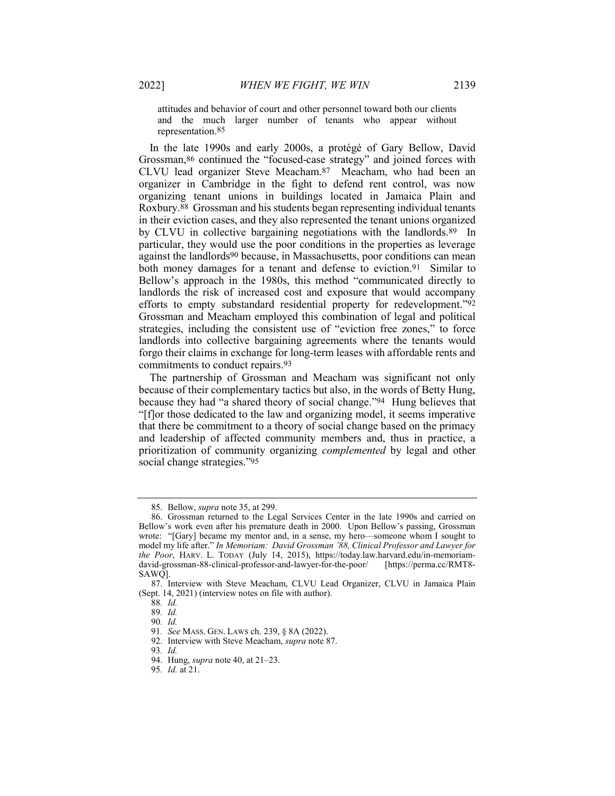attitudes and behavior of court and other personnel toward both our clients and the much larger number of tenants who appear without representation.85

In the late 1990s and early 2000s, a protégé of Gary Bellow, David Grossman,86 continued the "focused-case strategy" and joined forces with CLVU lead organizer Steve Meacham.87 Meacham, who had been an organizer in Cambridge in the fight to defend rent control, was now organizing tenant unions in buildings located in Jamaica Plain and Roxbury.88 Grossman and his students began representing individual tenants in their eviction cases, and they also represented the tenant unions organized by CLVU in collective bargaining negotiations with the landlords.<sup>89</sup> In particular, they would use the poor conditions in the properties as leverage against the landlords90 because, in Massachusetts, poor conditions can mean both money damages for a tenant and defense to eviction.<sup>91</sup> Similar to Bellow's approach in the 1980s, this method "communicated directly to landlords the risk of increased cost and exposure that would accompany efforts to empty substandard residential property for redevelopment."92 Grossman and Meacham employed this combination of legal and political strategies, including the consistent use of "eviction free zones," to force landlords into collective bargaining agreements where the tenants would forgo their claims in exchange for long-term leases with affordable rents and commitments to conduct repairs.93

The partnership of Grossman and Meacham was significant not only because of their complementary tactics but also, in the words of Betty Hung, because they had "a shared theory of social change."94 Hung believes that "[f]or those dedicated to the law and organizing model, it seems imperative that there be commitment to a theory of social change based on the primacy and leadership of affected community members and, thus in practice, a prioritization of community organizing complemented by legal and other social change strategies."95

 <sup>85.</sup> Bellow, supra note 35, at 299.

 <sup>86.</sup> Grossman returned to the Legal Services Center in the late 1990s and carried on Bellow's work even after his premature death in 2000. Upon Bellow's passing, Grossman wrote: "[Gary] became my mentor and, in a sense, my hero—someone whom I sought to model my life after." In Memoriam: David Grossman '88, Clinical Professor and Lawyer for the Poor, HARV. L. TODAY (July 14, 2015), https://today.law.harvard.edu/in-memoriamdavid-grossman-88-clinical-professor-and-lawyer-for-the-poor/ [https://perma.cc/RMT8- SAWQ].

 <sup>87.</sup> Interview with Steve Meacham, CLVU Lead Organizer, CLVU in Jamaica Plain (Sept. 14, 2021) (interview notes on file with author).

<sup>88</sup>. Id.

<sup>89</sup>. Id.

<sup>90</sup>. Id.

<sup>91</sup>. See MASS. GEN. LAWS ch. 239, § 8A (2022).

 <sup>92.</sup> Interview with Steve Meacham, supra note 87.

<sup>93</sup>. Id.

 <sup>94.</sup> Hung, supra note 40, at 21–23.

<sup>95</sup>. Id. at 21.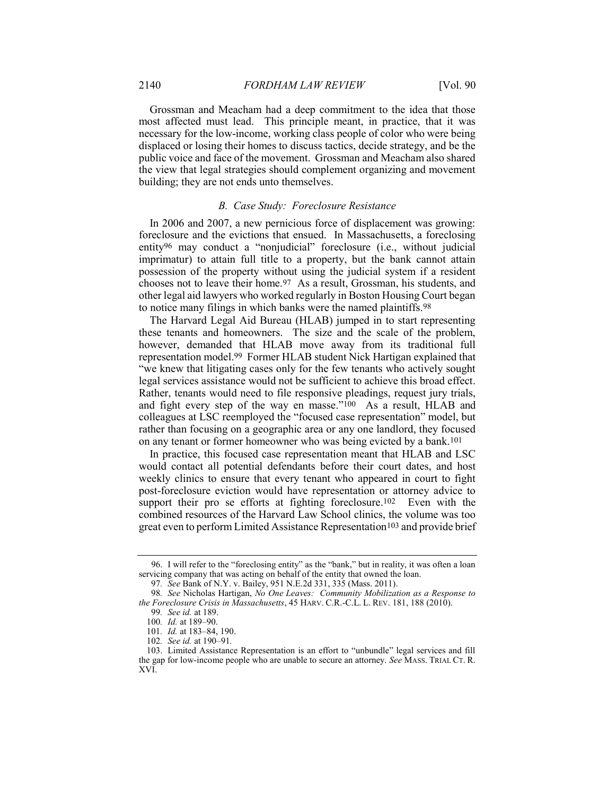Grossman and Meacham had a deep commitment to the idea that those most affected must lead. This principle meant, in practice, that it was necessary for the low-income, working class people of color who were being displaced or losing their homes to discuss tactics, decide strategy, and be the public voice and face of the movement. Grossman and Meacham also shared the view that legal strategies should complement organizing and movement building; they are not ends unto themselves.

#### B. Case Study: Foreclosure Resistance

In 2006 and 2007, a new pernicious force of displacement was growing: foreclosure and the evictions that ensued. In Massachusetts, a foreclosing entity96 may conduct a "nonjudicial" foreclosure (i.e., without judicial imprimatur) to attain full title to a property, but the bank cannot attain possession of the property without using the judicial system if a resident chooses not to leave their home.97 As a result, Grossman, his students, and other legal aid lawyers who worked regularly in Boston Housing Court began to notice many filings in which banks were the named plaintiffs.98

The Harvard Legal Aid Bureau (HLAB) jumped in to start representing these tenants and homeowners. The size and the scale of the problem, however, demanded that HLAB move away from its traditional full representation model.99 Former HLAB student Nick Hartigan explained that "we knew that litigating cases only for the few tenants who actively sought legal services assistance would not be sufficient to achieve this broad effect. Rather, tenants would need to file responsive pleadings, request jury trials, and fight every step of the way en masse."100 As a result, HLAB and colleagues at LSC reemployed the "focused case representation" model, but rather than focusing on a geographic area or any one landlord, they focused on any tenant or former homeowner who was being evicted by a bank.101

In practice, this focused case representation meant that HLAB and LSC would contact all potential defendants before their court dates, and host weekly clinics to ensure that every tenant who appeared in court to fight post-foreclosure eviction would have representation or attorney advice to support their pro se efforts at fighting foreclosure.<sup>102</sup> Even with the combined resources of the Harvard Law School clinics, the volume was too great even to perform Limited Assistance Representation<sup>103</sup> and provide brief

 <sup>96.</sup> I will refer to the "foreclosing entity" as the "bank," but in reality, it was often a loan servicing company that was acting on behalf of the entity that owned the loan.

<sup>97</sup>. See Bank of N.Y. v. Bailey, 951 N.E.2d 331, 335 (Mass. 2011).

<sup>98</sup>. See Nicholas Hartigan, No One Leaves: Community Mobilization as a Response to the Foreclosure Crisis in Massachusetts, 45 HARV. C.R.-C.L. L. REV. 181, 188 (2010).

<sup>99</sup>. See id. at 189.

<sup>100</sup>. Id. at 189–90.

<sup>101.</sup> *Id.* at 183-84, 190.

<sup>102</sup>. See id. at 190–91.

 <sup>103.</sup> Limited Assistance Representation is an effort to "unbundle" legal services and fill the gap for low-income people who are unable to secure an attorney. See MASS. TRIAL CT. R. XVI.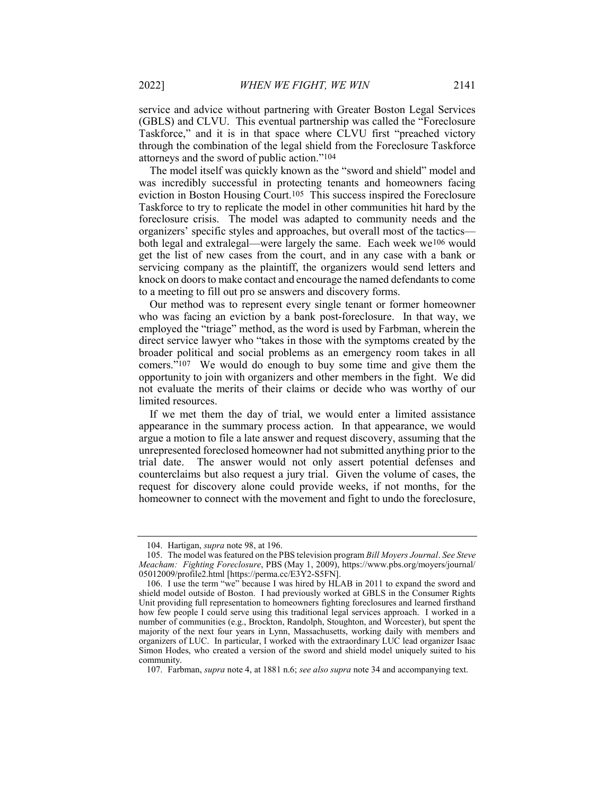service and advice without partnering with Greater Boston Legal Services (GBLS) and CLVU. This eventual partnership was called the "Foreclosure Taskforce," and it is in that space where CLVU first "preached victory through the combination of the legal shield from the Foreclosure Taskforce attorneys and the sword of public action."104

The model itself was quickly known as the "sword and shield" model and was incredibly successful in protecting tenants and homeowners facing eviction in Boston Housing Court.105 This success inspired the Foreclosure Taskforce to try to replicate the model in other communities hit hard by the foreclosure crisis. The model was adapted to community needs and the organizers' specific styles and approaches, but overall most of the tactics both legal and extralegal—were largely the same. Each week we106 would get the list of new cases from the court, and in any case with a bank or servicing company as the plaintiff, the organizers would send letters and knock on doors to make contact and encourage the named defendants to come to a meeting to fill out pro se answers and discovery forms.

Our method was to represent every single tenant or former homeowner who was facing an eviction by a bank post-foreclosure. In that way, we employed the "triage" method, as the word is used by Farbman, wherein the direct service lawyer who "takes in those with the symptoms created by the broader political and social problems as an emergency room takes in all comers."107 We would do enough to buy some time and give them the opportunity to join with organizers and other members in the fight. We did not evaluate the merits of their claims or decide who was worthy of our limited resources.

If we met them the day of trial, we would enter a limited assistance appearance in the summary process action. In that appearance, we would argue a motion to file a late answer and request discovery, assuming that the unrepresented foreclosed homeowner had not submitted anything prior to the trial date. The answer would not only assert potential defenses and counterclaims but also request a jury trial. Given the volume of cases, the request for discovery alone could provide weeks, if not months, for the homeowner to connect with the movement and fight to undo the foreclosure,

<sup>104.</sup> Hartigan, *supra* note 98, at 196.

<sup>105.</sup> The model was featured on the PBS television program Bill Moyers Journal. See Steve Meacham: Fighting Foreclosure, PBS (May 1, 2009), https://www.pbs.org/moyers/journal/ 05012009/profile2.html [https://perma.cc/E3Y2-S5FN].

 <sup>106.</sup> I use the term "we" because I was hired by HLAB in 2011 to expand the sword and shield model outside of Boston. I had previously worked at GBLS in the Consumer Rights Unit providing full representation to homeowners fighting foreclosures and learned firsthand how few people I could serve using this traditional legal services approach. I worked in a number of communities (e.g., Brockton, Randolph, Stoughton, and Worcester), but spent the majority of the next four years in Lynn, Massachusetts, working daily with members and organizers of LUC. In particular, I worked with the extraordinary LUC lead organizer Isaac Simon Hodes, who created a version of the sword and shield model uniquely suited to his community.

<sup>107.</sup> Farbman, supra note 4, at 1881 n.6; see also supra note 34 and accompanying text.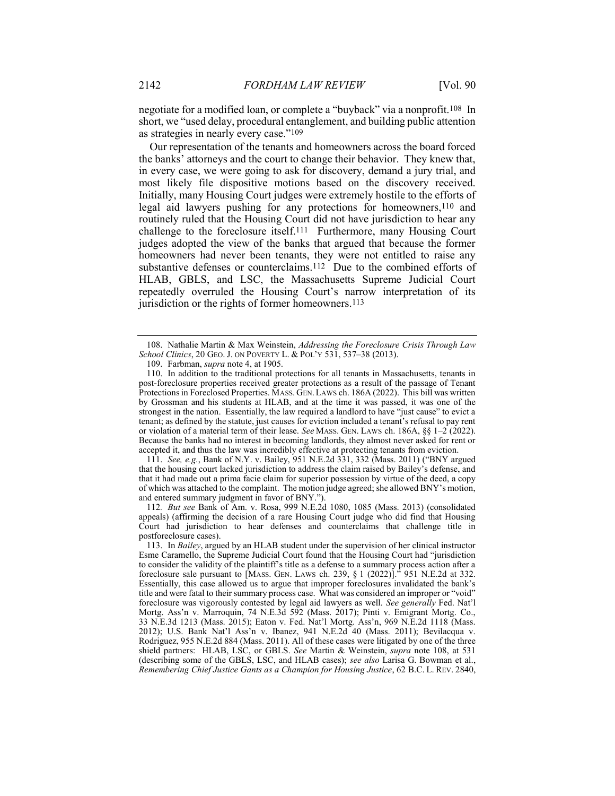negotiate for a modified loan, or complete a "buyback" via a nonprofit.108 In short, we "used delay, procedural entanglement, and building public attention as strategies in nearly every case."109

Our representation of the tenants and homeowners across the board forced the banks' attorneys and the court to change their behavior. They knew that, in every case, we were going to ask for discovery, demand a jury trial, and most likely file dispositive motions based on the discovery received. Initially, many Housing Court judges were extremely hostile to the efforts of legal aid lawyers pushing for any protections for homeowners,110 and routinely ruled that the Housing Court did not have jurisdiction to hear any challenge to the foreclosure itself.111 Furthermore, many Housing Court judges adopted the view of the banks that argued that because the former homeowners had never been tenants, they were not entitled to raise any substantive defenses or counterclaims.112 Due to the combined efforts of HLAB, GBLS, and LSC, the Massachusetts Supreme Judicial Court repeatedly overruled the Housing Court's narrow interpretation of its jurisdiction or the rights of former homeowners.<sup>113</sup>

111. See, e.g., Bank of N.Y. v. Bailey, 951 N.E.2d 331, 332 (Mass. 2011) ("BNY argued that the housing court lacked jurisdiction to address the claim raised by Bailey's defense, and that it had made out a prima facie claim for superior possession by virtue of the deed, a copy of which was attached to the complaint. The motion judge agreed; she allowed BNY's motion, and entered summary judgment in favor of BNY.").

112. But see Bank of Am. v. Rosa, 999 N.E.2d 1080, 1085 (Mass. 2013) (consolidated appeals) (affirming the decision of a rare Housing Court judge who did find that Housing Court had jurisdiction to hear defenses and counterclaims that challenge title in postforeclosure cases).

<sup>108.</sup> Nathalie Martin & Max Weinstein, Addressing the Foreclosure Crisis Through Law School Clinics, 20 GEO. J. ON POVERTY L. & POL'Y 531, 537-38 (2013).

 <sup>109.</sup> Farbman, supra note 4, at 1905.

 <sup>110.</sup> In addition to the traditional protections for all tenants in Massachusetts, tenants in post-foreclosure properties received greater protections as a result of the passage of Tenant Protections in Foreclosed Properties. MASS. GEN.LAWS ch. 186A (2022). This bill was written by Grossman and his students at HLAB, and at the time it was passed, it was one of the strongest in the nation. Essentially, the law required a landlord to have "just cause" to evict a tenant; as defined by the statute, just causes for eviction included a tenant's refusal to pay rent or violation of a material term of their lease. See MASS. GEN. LAWS ch. 186A, §§ 1-2 (2022). Because the banks had no interest in becoming landlords, they almost never asked for rent or accepted it, and thus the law was incredibly effective at protecting tenants from eviction.

 <sup>113.</sup> In Bailey, argued by an HLAB student under the supervision of her clinical instructor Esme Caramello, the Supreme Judicial Court found that the Housing Court had "jurisdiction to consider the validity of the plaintiff's title as a defense to a summary process action after a foreclosure sale pursuant to [MASS. GEN. LAWS ch. 239,  $\S 1$  (2022)].<sup>3</sup> 951 N.E.2d at 332. Essentially, this case allowed us to argue that improper foreclosures invalidated the bank's title and were fatal to their summary process case. What was considered an improper or "void" foreclosure was vigorously contested by legal aid lawyers as well. See generally Fed. Nat'l Mortg. Ass'n v. Marroquin, 74 N.E.3d 592 (Mass. 2017); Pinti v. Emigrant Mortg. Co., 33 N.E.3d 1213 (Mass. 2015); Eaton v. Fed. Nat'l Mortg. Ass'n, 969 N.E.2d 1118 (Mass. 2012); U.S. Bank Nat'l Ass'n v. Ibanez, 941 N.E.2d 40 (Mass. 2011); Bevilacqua v. Rodriguez, 955 N.E.2d 884 (Mass. 2011). All of these cases were litigated by one of the three shield partners: HLAB, LSC, or GBLS. See Martin & Weinstein, supra note 108, at 531 (describing some of the GBLS, LSC, and HLAB cases); see also Larisa G. Bowman et al., Remembering Chief Justice Gants as a Champion for Housing Justice, 62 B.C. L. REV. 2840,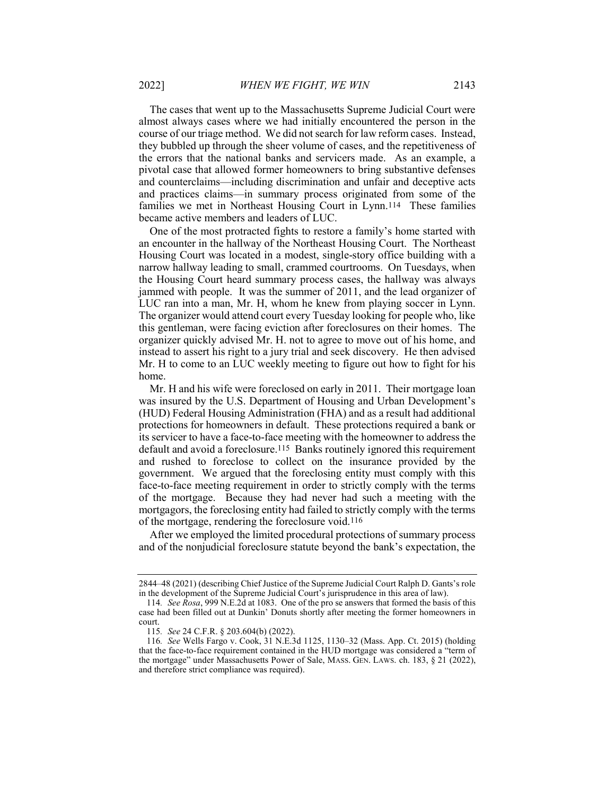The cases that went up to the Massachusetts Supreme Judicial Court were almost always cases where we had initially encountered the person in the course of our triage method. We did not search for law reform cases. Instead, they bubbled up through the sheer volume of cases, and the repetitiveness of the errors that the national banks and servicers made. As an example, a pivotal case that allowed former homeowners to bring substantive defenses and counterclaims—including discrimination and unfair and deceptive acts and practices claims—in summary process originated from some of the families we met in Northeast Housing Court in Lynn.114 These families became active members and leaders of LUC.

One of the most protracted fights to restore a family's home started with an encounter in the hallway of the Northeast Housing Court. The Northeast Housing Court was located in a modest, single-story office building with a narrow hallway leading to small, crammed courtrooms. On Tuesdays, when the Housing Court heard summary process cases, the hallway was always jammed with people. It was the summer of 2011, and the lead organizer of LUC ran into a man, Mr. H, whom he knew from playing soccer in Lynn. The organizer would attend court every Tuesday looking for people who, like this gentleman, were facing eviction after foreclosures on their homes. The organizer quickly advised Mr. H. not to agree to move out of his home, and instead to assert his right to a jury trial and seek discovery. He then advised Mr. H to come to an LUC weekly meeting to figure out how to fight for his home.

Mr. H and his wife were foreclosed on early in 2011. Their mortgage loan was insured by the U.S. Department of Housing and Urban Development's (HUD) Federal Housing Administration (FHA) and as a result had additional protections for homeowners in default. These protections required a bank or its servicer to have a face-to-face meeting with the homeowner to address the default and avoid a foreclosure.115 Banks routinely ignored this requirement and rushed to foreclose to collect on the insurance provided by the government. We argued that the foreclosing entity must comply with this face-to-face meeting requirement in order to strictly comply with the terms of the mortgage. Because they had never had such a meeting with the mortgagors, the foreclosing entity had failed to strictly comply with the terms of the mortgage, rendering the foreclosure void.116

After we employed the limited procedural protections of summary process and of the nonjudicial foreclosure statute beyond the bank's expectation, the

<sup>2844–48 (2021) (</sup>describing Chief Justice of the Supreme Judicial Court Ralph D. Gants's role in the development of the Supreme Judicial Court's jurisprudence in this area of law).

<sup>114</sup>. See Rosa, 999 N.E.2d at 1083. One of the pro se answers that formed the basis of this case had been filled out at Dunkin' Donuts shortly after meeting the former homeowners in court.

<sup>115</sup>. See 24 C.F.R. § 203.604(b) (2022).

<sup>116</sup>. See Wells Fargo v. Cook, 31 N.E.3d 1125, 1130–32 (Mass. App. Ct. 2015) (holding that the face-to-face requirement contained in the HUD mortgage was considered a "term of the mortgage" under Massachusetts Power of Sale, MASS. GEN. LAWS. ch. 183, § 21 (2022), and therefore strict compliance was required).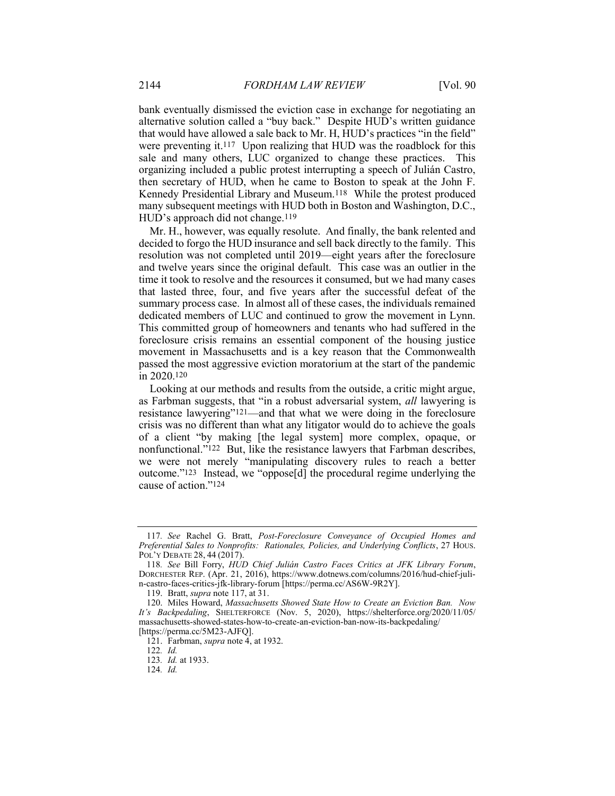bank eventually dismissed the eviction case in exchange for negotiating an alternative solution called a "buy back." Despite HUD's written guidance that would have allowed a sale back to Mr. H, HUD's practices "in the field" were preventing it.<sup>117</sup> Upon realizing that HUD was the roadblock for this sale and many others, LUC organized to change these practices. This organizing included a public protest interrupting a speech of Julián Castro, then secretary of HUD, when he came to Boston to speak at the John F. Kennedy Presidential Library and Museum.118 While the protest produced many subsequent meetings with HUD both in Boston and Washington, D.C., HUD's approach did not change.<sup>119</sup>

Mr. H., however, was equally resolute. And finally, the bank relented and decided to forgo the HUD insurance and sell back directly to the family. This resolution was not completed until 2019—eight years after the foreclosure and twelve years since the original default. This case was an outlier in the time it took to resolve and the resources it consumed, but we had many cases that lasted three, four, and five years after the successful defeat of the summary process case. In almost all of these cases, the individuals remained dedicated members of LUC and continued to grow the movement in Lynn. This committed group of homeowners and tenants who had suffered in the foreclosure crisis remains an essential component of the housing justice movement in Massachusetts and is a key reason that the Commonwealth passed the most aggressive eviction moratorium at the start of the pandemic in 2020.120

Looking at our methods and results from the outside, a critic might argue, as Farbman suggests, that "in a robust adversarial system, all lawyering is resistance lawyering"121—and that what we were doing in the foreclosure crisis was no different than what any litigator would do to achieve the goals of a client "by making [the legal system] more complex, opaque, or nonfunctional."122 But, like the resistance lawyers that Farbman describes, we were not merely "manipulating discovery rules to reach a better outcome."123 Instead, we "oppose[d] the procedural regime underlying the cause of action."124

<sup>117</sup>. See Rachel G. Bratt, Post-Foreclosure Conveyance of Occupied Homes and Preferential Sales to Nonprofits: Rationales, Policies, and Underlying Conflicts, 27 HOUS. POL'Y DEBATE 28, 44 (2017).

<sup>118</sup>. See Bill Forry, HUD Chief Julián Castro Faces Critics at JFK Library Forum, DORCHESTER REP. (Apr. 21, 2016), https://www.dotnews.com/columns/2016/hud-chief-julin-castro-faces-critics-jfk-library-forum [https://perma.cc/AS6W-9R2Y].

 <sup>119.</sup> Bratt, supra note 117, at 31.

<sup>120.</sup> Miles Howard, Massachusetts Showed State How to Create an Eviction Ban. Now It's Backpedaling, SHELTERFORCE (Nov. 5, 2020), https://shelterforce.org/2020/11/05/ massachusetts-showed-states-how-to-create-an-eviction-ban-now-its-backpedaling/ [https://perma.cc/5M23-AJFQ].

<sup>121.</sup> Farbman, *supra* note 4, at 1932.

<sup>122</sup>. Id.

<sup>123</sup>. Id. at 1933.

<sup>124</sup>. Id.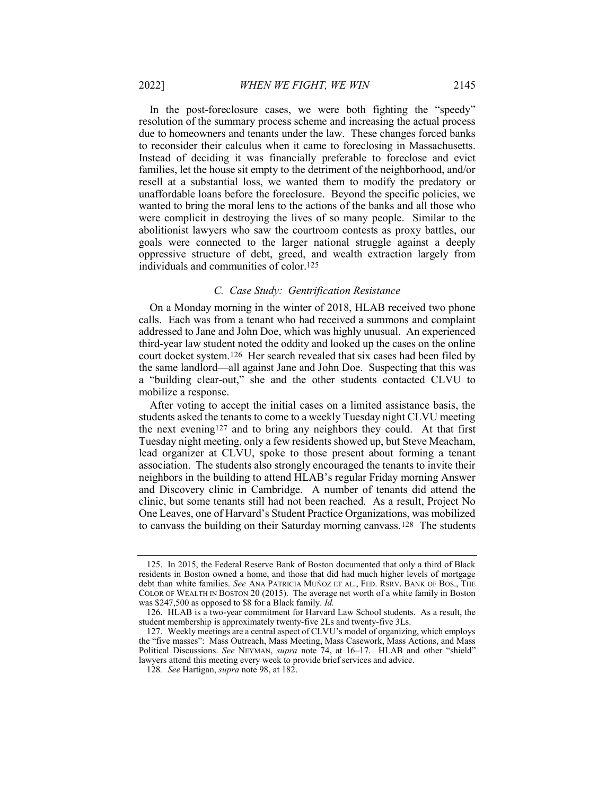In the post-foreclosure cases, we were both fighting the "speedy" resolution of the summary process scheme and increasing the actual process due to homeowners and tenants under the law. These changes forced banks to reconsider their calculus when it came to foreclosing in Massachusetts. Instead of deciding it was financially preferable to foreclose and evict families, let the house sit empty to the detriment of the neighborhood, and/or resell at a substantial loss, we wanted them to modify the predatory or unaffordable loans before the foreclosure. Beyond the specific policies, we wanted to bring the moral lens to the actions of the banks and all those who were complicit in destroying the lives of so many people. Similar to the abolitionist lawyers who saw the courtroom contests as proxy battles, our goals were connected to the larger national struggle against a deeply oppressive structure of debt, greed, and wealth extraction largely from individuals and communities of color.125

#### C. Case Study: Gentrification Resistance

On a Monday morning in the winter of 2018, HLAB received two phone calls. Each was from a tenant who had received a summons and complaint addressed to Jane and John Doe, which was highly unusual. An experienced third-year law student noted the oddity and looked up the cases on the online court docket system.126 Her search revealed that six cases had been filed by the same landlord—all against Jane and John Doe. Suspecting that this was a "building clear-out," she and the other students contacted CLVU to mobilize a response.

After voting to accept the initial cases on a limited assistance basis, the students asked the tenants to come to a weekly Tuesday night CLVU meeting the next evening127 and to bring any neighbors they could. At that first Tuesday night meeting, only a few residents showed up, but Steve Meacham, lead organizer at CLVU, spoke to those present about forming a tenant association. The students also strongly encouraged the tenants to invite their neighbors in the building to attend HLAB's regular Friday morning Answer and Discovery clinic in Cambridge. A number of tenants did attend the clinic, but some tenants still had not been reached. As a result, Project No One Leaves, one of Harvard's Student Practice Organizations, was mobilized to canvass the building on their Saturday morning canvass.128 The students

 <sup>125.</sup> In 2015, the Federal Reserve Bank of Boston documented that only a third of Black residents in Boston owned a home, and those that did had much higher levels of mortgage debt than white families. See ANA PATRICIA MUÑOZ ET AL., FED. RSRV. BANK OF BOS., THE COLOR OF WEALTH IN BOSTON 20 (2015). The average net worth of a white family in Boston was \$247,500 as opposed to \$8 for a Black family. Id.

 <sup>126.</sup> HLAB is a two-year commitment for Harvard Law School students. As a result, the student membership is approximately twenty-five 2Ls and twenty-five 3Ls.

 <sup>127.</sup> Weekly meetings are a central aspect of CLVU's model of organizing, which employs the "five masses": Mass Outreach, Mass Meeting, Mass Casework, Mass Actions, and Mass Political Discussions. See NEYMAN, supra note 74, at 16–17. HLAB and other "shield" lawyers attend this meeting every week to provide brief services and advice.

<sup>128</sup>. See Hartigan, supra note 98, at 182.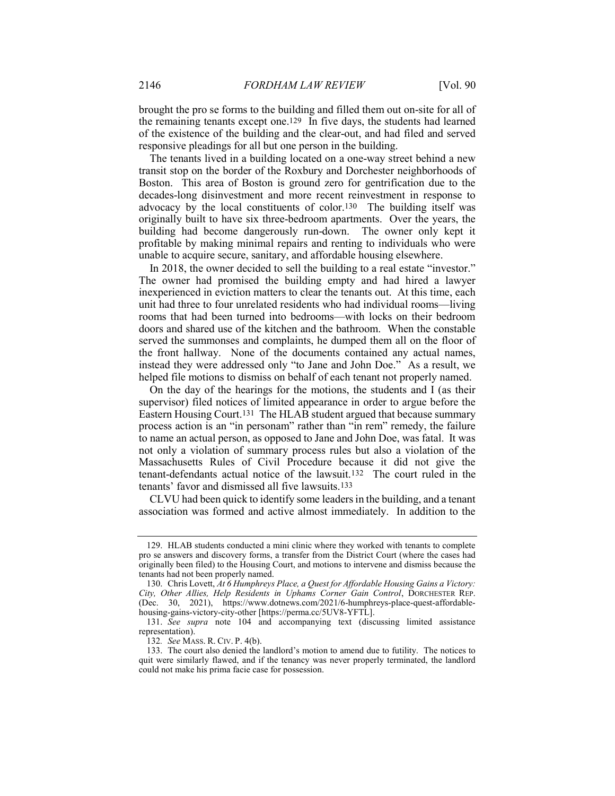brought the pro se forms to the building and filled them out on-site for all of the remaining tenants except one.129 In five days, the students had learned of the existence of the building and the clear-out, and had filed and served responsive pleadings for all but one person in the building.

The tenants lived in a building located on a one-way street behind a new transit stop on the border of the Roxbury and Dorchester neighborhoods of Boston. This area of Boston is ground zero for gentrification due to the decades-long disinvestment and more recent reinvestment in response to advocacy by the local constituents of color.130 The building itself was originally built to have six three-bedroom apartments. Over the years, the building had become dangerously run-down. The owner only kept it profitable by making minimal repairs and renting to individuals who were unable to acquire secure, sanitary, and affordable housing elsewhere.

In 2018, the owner decided to sell the building to a real estate "investor." The owner had promised the building empty and had hired a lawyer inexperienced in eviction matters to clear the tenants out. At this time, each unit had three to four unrelated residents who had individual rooms—living rooms that had been turned into bedrooms—with locks on their bedroom doors and shared use of the kitchen and the bathroom. When the constable served the summonses and complaints, he dumped them all on the floor of the front hallway. None of the documents contained any actual names, instead they were addressed only "to Jane and John Doe." As a result, we helped file motions to dismiss on behalf of each tenant not properly named.

On the day of the hearings for the motions, the students and I (as their supervisor) filed notices of limited appearance in order to argue before the Eastern Housing Court.131 The HLAB student argued that because summary process action is an "in personam" rather than "in rem" remedy, the failure to name an actual person, as opposed to Jane and John Doe, was fatal. It was not only a violation of summary process rules but also a violation of the Massachusetts Rules of Civil Procedure because it did not give the tenant-defendants actual notice of the lawsuit.132 The court ruled in the tenants' favor and dismissed all five lawsuits.133

CLVU had been quick to identify some leaders in the building, and a tenant association was formed and active almost immediately. In addition to the

 <sup>129.</sup> HLAB students conducted a mini clinic where they worked with tenants to complete pro se answers and discovery forms, a transfer from the District Court (where the cases had originally been filed) to the Housing Court, and motions to intervene and dismiss because the tenants had not been properly named.

<sup>130.</sup> Chris Lovett, At 6 Humphreys Place, a Quest for Affordable Housing Gains a Victory: City, Other Allies, Help Residents in Uphams Corner Gain Control, DORCHESTER REP. (Dec. 30, 2021), https://www.dotnews.com/2021/6-humphreys-place-quest-affordablehousing-gains-victory-city-other [https://perma.cc/5UV8-YFTL].

 <sup>131.</sup> See supra note 104 and accompanying text (discussing limited assistance representation).

<sup>132</sup>. See MASS. R. CIV. P. 4(b).

 <sup>133.</sup> The court also denied the landlord's motion to amend due to futility. The notices to quit were similarly flawed, and if the tenancy was never properly terminated, the landlord could not make his prima facie case for possession.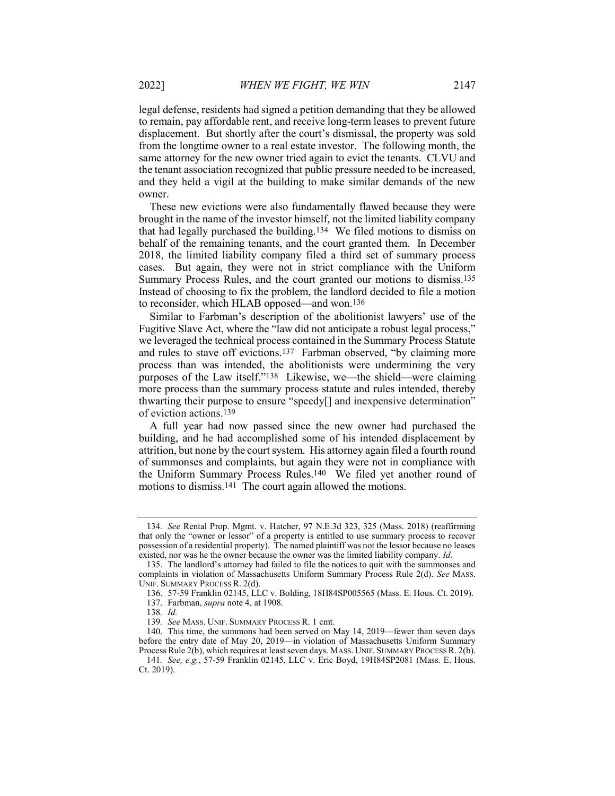legal defense, residents had signed a petition demanding that they be allowed to remain, pay affordable rent, and receive long-term leases to prevent future displacement. But shortly after the court's dismissal, the property was sold from the longtime owner to a real estate investor. The following month, the same attorney for the new owner tried again to evict the tenants. CLVU and the tenant association recognized that public pressure needed to be increased, and they held a vigil at the building to make similar demands of the new owner.

These new evictions were also fundamentally flawed because they were brought in the name of the investor himself, not the limited liability company that had legally purchased the building.134 We filed motions to dismiss on behalf of the remaining tenants, and the court granted them. In December 2018, the limited liability company filed a third set of summary process cases. But again, they were not in strict compliance with the Uniform Summary Process Rules, and the court granted our motions to dismiss.135 Instead of choosing to fix the problem, the landlord decided to file a motion to reconsider, which HLAB opposed—and won.136

Similar to Farbman's description of the abolitionist lawyers' use of the Fugitive Slave Act, where the "law did not anticipate a robust legal process," we leveraged the technical process contained in the Summary Process Statute and rules to stave off evictions.137 Farbman observed, "by claiming more process than was intended, the abolitionists were undermining the very purposes of the Law itself."138 Likewise, we—the shield—were claiming more process than the summary process statute and rules intended, thereby thwarting their purpose to ensure "speedy[] and inexpensive determination" of eviction actions.139

A full year had now passed since the new owner had purchased the building, and he had accomplished some of his intended displacement by attrition, but none by the court system. His attorney again filed a fourth round of summonses and complaints, but again they were not in compliance with the Uniform Summary Process Rules.140 We filed yet another round of motions to dismiss.141 The court again allowed the motions.

<sup>134</sup>. See Rental Prop. Mgmt. v. Hatcher, 97 N.E.3d 323, 325 (Mass. 2018) (reaffirming that only the "owner or lessor" of a property is entitled to use summary process to recover possession of a residential property). The named plaintiff was not the lessor because no leases existed, nor was he the owner because the owner was the limited liability company. Id.

 <sup>135.</sup> The landlord's attorney had failed to file the notices to quit with the summonses and complaints in violation of Massachusetts Uniform Summary Process Rule 2(d). See MASS. UNIF. SUMMARY PROCESS R. 2(d).

 <sup>136. 57-59</sup> Franklin 02145, LLC v. Bolding, 18H84SP005565 (Mass. E. Hous. Ct. 2019).

 <sup>137.</sup> Farbman, supra note 4, at 1908.

<sup>138</sup>. Id.

<sup>139</sup>. See MASS. UNIF. SUMMARY PROCESS R. 1 cmt.

 <sup>140.</sup> This time, the summons had been served on May 14, 2019—fewer than seven days before the entry date of May 20, 2019—in violation of Massachusetts Uniform Summary Process Rule 2(b), which requires at least seven days. MASS. UNIF. SUMMARY PROCESS R. 2(b).

<sup>141</sup>. See, e.g., 57-59 Franklin 02145, LLC v. Eric Boyd, 19H84SP2081 (Mass. E. Hous. Ct. 2019).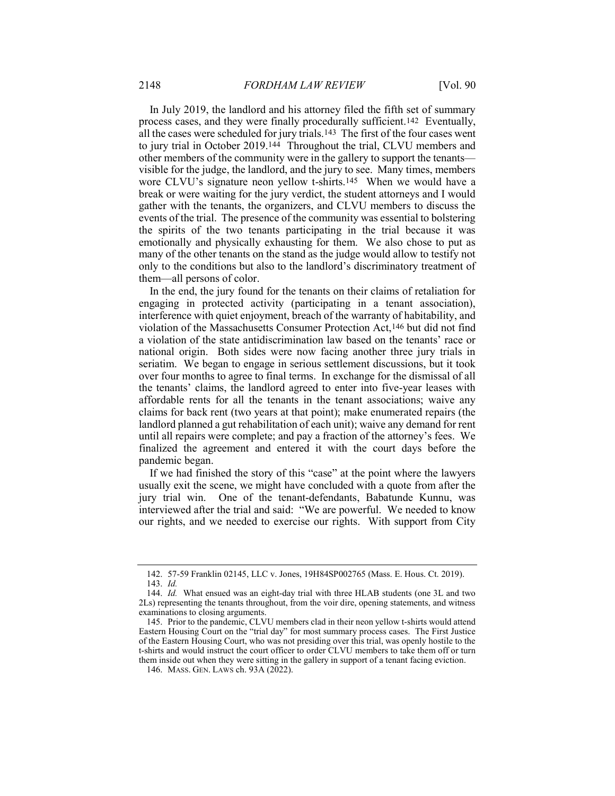In July 2019, the landlord and his attorney filed the fifth set of summary process cases, and they were finally procedurally sufficient.142 Eventually, all the cases were scheduled for jury trials.143 The first of the four cases went to jury trial in October 2019.144 Throughout the trial, CLVU members and other members of the community were in the gallery to support the tenants visible for the judge, the landlord, and the jury to see. Many times, members wore CLVU's signature neon yellow t-shirts.145 When we would have a break or were waiting for the jury verdict, the student attorneys and I would gather with the tenants, the organizers, and CLVU members to discuss the events of the trial. The presence of the community was essential to bolstering the spirits of the two tenants participating in the trial because it was emotionally and physically exhausting for them. We also chose to put as many of the other tenants on the stand as the judge would allow to testify not only to the conditions but also to the landlord's discriminatory treatment of them—all persons of color.

In the end, the jury found for the tenants on their claims of retaliation for engaging in protected activity (participating in a tenant association), interference with quiet enjoyment, breach of the warranty of habitability, and violation of the Massachusetts Consumer Protection Act,146 but did not find a violation of the state antidiscrimination law based on the tenants' race or national origin. Both sides were now facing another three jury trials in seriatim. We began to engage in serious settlement discussions, but it took over four months to agree to final terms. In exchange for the dismissal of all the tenants' claims, the landlord agreed to enter into five-year leases with affordable rents for all the tenants in the tenant associations; waive any claims for back rent (two years at that point); make enumerated repairs (the landlord planned a gut rehabilitation of each unit); waive any demand for rent until all repairs were complete; and pay a fraction of the attorney's fees. We finalized the agreement and entered it with the court days before the pandemic began.

If we had finished the story of this "case" at the point where the lawyers usually exit the scene, we might have concluded with a quote from after the jury trial win. One of the tenant-defendants, Babatunde Kunnu, was interviewed after the trial and said: "We are powerful. We needed to know our rights, and we needed to exercise our rights. With support from City

 <sup>142. 57-59</sup> Franklin 02145, LLC v. Jones, 19H84SP002765 (Mass. E. Hous. Ct. 2019). 143. Id.

 <sup>144.</sup> Id. What ensued was an eight-day trial with three HLAB students (one 3L and two 2Ls) representing the tenants throughout, from the voir dire, opening statements, and witness examinations to closing arguments.

 <sup>145.</sup> Prior to the pandemic, CLVU members clad in their neon yellow t-shirts would attend Eastern Housing Court on the "trial day" for most summary process cases. The First Justice of the Eastern Housing Court, who was not presiding over this trial, was openly hostile to the t-shirts and would instruct the court officer to order CLVU members to take them off or turn them inside out when they were sitting in the gallery in support of a tenant facing eviction.

<sup>146.</sup> MASS. GEN. LAWS ch. 93A (2022).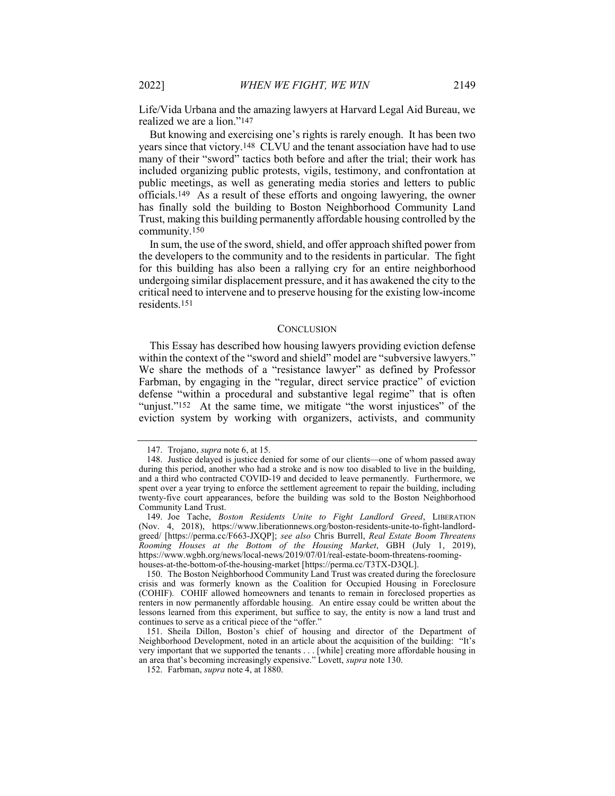Life/Vida Urbana and the amazing lawyers at Harvard Legal Aid Bureau, we realized we are a lion."147

But knowing and exercising one's rights is rarely enough. It has been two years since that victory.148 CLVU and the tenant association have had to use many of their "sword" tactics both before and after the trial; their work has included organizing public protests, vigils, testimony, and confrontation at public meetings, as well as generating media stories and letters to public officials.149 As a result of these efforts and ongoing lawyering, the owner has finally sold the building to Boston Neighborhood Community Land Trust, making this building permanently affordable housing controlled by the community.150

In sum, the use of the sword, shield, and offer approach shifted power from the developers to the community and to the residents in particular. The fight for this building has also been a rallying cry for an entire neighborhood undergoing similar displacement pressure, and it has awakened the city to the critical need to intervene and to preserve housing for the existing low-income residents.151

#### **CONCLUSION**

This Essay has described how housing lawyers providing eviction defense within the context of the "sword and shield" model are "subversive lawyers." We share the methods of a "resistance lawyer" as defined by Professor Farbman, by engaging in the "regular, direct service practice" of eviction defense "within a procedural and substantive legal regime" that is often "unjust."152 At the same time, we mitigate "the worst injustices" of the eviction system by working with organizers, activists, and community

<sup>147.</sup> Trojano, supra note 6, at 15.

 <sup>148.</sup> Justice delayed is justice denied for some of our clients—one of whom passed away during this period, another who had a stroke and is now too disabled to live in the building, and a third who contracted COVID-19 and decided to leave permanently. Furthermore, we spent over a year trying to enforce the settlement agreement to repair the building, including twenty-five court appearances, before the building was sold to the Boston Neighborhood Community Land Trust.

<sup>149.</sup> Joe Tache, Boston Residents Unite to Fight Landlord Greed, LIBERATION (Nov. 4, 2018), https://www.liberationnews.org/boston-residents-unite-to-fight-landlordgreed/ [https://perma.cc/F663-JXQP]; see also Chris Burrell, Real Estate Boom Threatens Rooming Houses at the Bottom of the Housing Market, GBH (July 1, 2019), https://www.wgbh.org/news/local-news/2019/07/01/real-estate-boom-threatens-roominghouses-at-the-bottom-of-the-housing-market [https://perma.cc/T3TX-D3QL].

 <sup>150.</sup> The Boston Neighborhood Community Land Trust was created during the foreclosure crisis and was formerly known as the Coalition for Occupied Housing in Foreclosure (COHIF). COHIF allowed homeowners and tenants to remain in foreclosed properties as renters in now permanently affordable housing. An entire essay could be written about the lessons learned from this experiment, but suffice to say, the entity is now a land trust and continues to serve as a critical piece of the "offer."

 <sup>151.</sup> Sheila Dillon, Boston's chief of housing and director of the Department of Neighborhood Development, noted in an article about the acquisition of the building: "It's very important that we supported the tenants . . . [while] creating more affordable housing in an area that's becoming increasingly expensive." Lovett, supra note 130.

 <sup>152.</sup> Farbman, supra note 4, at 1880.